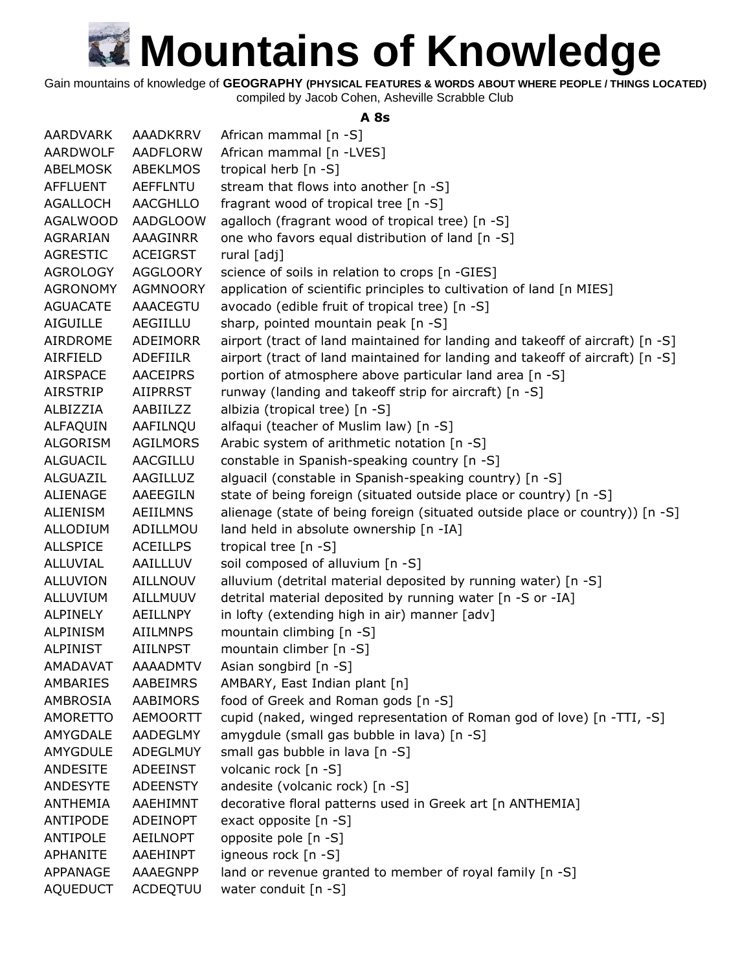Gain mountains of knowledge of **GEOGRAPHY (PHYSICAL FEATURES & WORDS ABOUT WHERE PEOPLE / THINGS LOCATED)**

compiled by Jacob Cohen, Asheville Scrabble Club

#### **A 8s**

| <b>AARDVARK</b> | <b>AAADKRRV</b> | African mammal [n -S]                                                         |
|-----------------|-----------------|-------------------------------------------------------------------------------|
| AARDWOLF        | <b>AADFLORW</b> | African mammal [n -LVES]                                                      |
| ABELMOSK        | <b>ABEKLMOS</b> | tropical herb [n -S]                                                          |
| <b>AFFLUENT</b> | <b>AEFFLNTU</b> | stream that flows into another [n -S]                                         |
| <b>AGALLOCH</b> | <b>AACGHLLO</b> | fragrant wood of tropical tree [n -S]                                         |
| <b>AGALWOOD</b> | <b>AADGLOOW</b> | agalloch (fragrant wood of tropical tree) [n -S]                              |
| AGRARIAN        | <b>AAAGINRR</b> | one who favors equal distribution of land [n -S]                              |
| <b>AGRESTIC</b> | <b>ACEIGRST</b> | rural [adj]                                                                   |
| <b>AGROLOGY</b> | <b>AGGLOORY</b> | science of soils in relation to crops [n -GIES]                               |
| <b>AGRONOMY</b> | <b>AGMNOORY</b> | application of scientific principles to cultivation of land [n MIES]          |
| <b>AGUACATE</b> | <b>AAACEGTU</b> | avocado (edible fruit of tropical tree) [n -S]                                |
| <b>AIGUILLE</b> | AEGIILLU        | sharp, pointed mountain peak [n -S]                                           |
| AIRDROME        | <b>ADEIMORR</b> | airport (tract of land maintained for landing and takeoff of aircraft) [n -S] |
| AIRFIELD        | <b>ADEFIILR</b> | airport (tract of land maintained for landing and takeoff of aircraft) [n -S] |
| <b>AIRSPACE</b> | <b>AACEIPRS</b> | portion of atmosphere above particular land area [n -S]                       |
| <b>AIRSTRIP</b> | <b>AIIPRRST</b> | runway (landing and takeoff strip for aircraft) [n -S]                        |
| ALBIZZIA        | AABIILZZ        | albizia (tropical tree) [n -S]                                                |
| ALFAQUIN        | AAFILNQU        | alfaqui (teacher of Muslim law) [n -S]                                        |
| <b>ALGORISM</b> | <b>AGILMORS</b> | Arabic system of arithmetic notation [n -S]                                   |
| <b>ALGUACIL</b> | AACGILLU        | constable in Spanish-speaking country [n -S]                                  |
| <b>ALGUAZIL</b> | AAGILLUZ        | alguacil (constable in Spanish-speaking country) [n -S]                       |
| <b>ALIENAGE</b> | <b>AAEEGILN</b> | state of being foreign (situated outside place or country) [n -S]             |
| <b>ALIENISM</b> | <b>AEIILMNS</b> | alienage (state of being foreign (situated outside place or country)) [n -S]  |
| <b>ALLODIUM</b> | ADILLMOU        | land held in absolute ownership [n -IA]                                       |
| <b>ALLSPICE</b> | <b>ACEILLPS</b> | tropical tree [n -S]                                                          |
| <b>ALLUVIAL</b> | AAILLLUV        | soil composed of alluvium [n -S]                                              |
| <b>ALLUVION</b> | <b>AILLNOUV</b> | alluvium (detrital material deposited by running water) [n -S]                |
| ALLUVIUM        | AILLMUUV        | detrital material deposited by running water [n -S or -IA]                    |
| <b>ALPINELY</b> | AEILLNPY        | in lofty (extending high in air) manner [adv]                                 |
| ALPINISM        | <b>AIILMNPS</b> | mountain climbing [n -S]                                                      |
| <b>ALPINIST</b> | <b>AIILNPST</b> | mountain climber [n -S]                                                       |
| AMADAVAT        | <b>AAAADMTV</b> | Asian songbird [n -S]                                                         |
| AMBARIES        | AABEIMRS        | AMBARY, East Indian plant [n]                                                 |
| AMBROSIA        | <b>AABIMORS</b> | food of Greek and Roman gods [n -S]                                           |
| <b>AMORETTO</b> | AEMOORTT        | cupid (naked, winged representation of Roman god of love) [n -TTI, -S]        |
| AMYGDALE        | AADEGLMY        | amygdule (small gas bubble in lava) [n -S]                                    |
| <b>AMYGDULE</b> | ADEGLMUY        | small gas bubble in lava [n -S]                                               |
| <b>ANDESITE</b> | ADEEINST        | volcanic rock [n -S]                                                          |
| <b>ANDESYTE</b> | <b>ADEENSTY</b> | andesite (volcanic rock) [n -S]                                               |
| <b>ANTHEMIA</b> | AAEHIMNT        | decorative floral patterns used in Greek art [n ANTHEMIA]                     |
| ANTIPODE        | ADEINOPT        | exact opposite [n -S]                                                         |
| <b>ANTIPOLE</b> | AEILNOPT        | opposite pole [n -S]                                                          |
| <b>APHANITE</b> | AAEHINPT        | igneous rock [n -S]                                                           |
| APPANAGE        | AAAEGNPP        | land or revenue granted to member of royal family [n -S]                      |
| <b>AQUEDUCT</b> | ACDEQTUU        | water conduit [n -S]                                                          |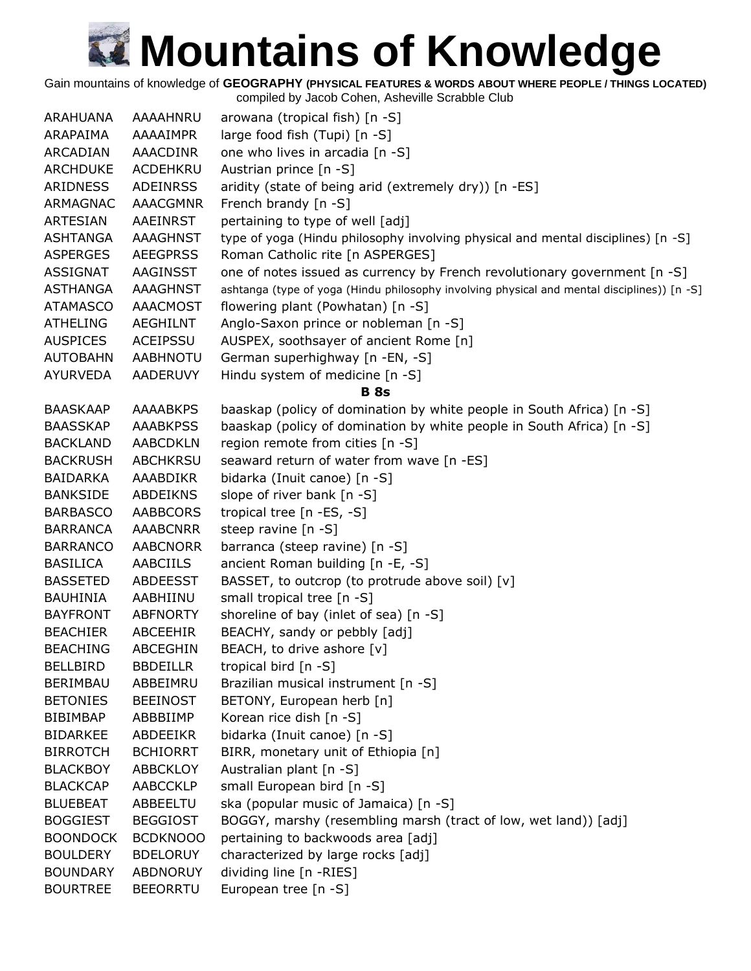Gain mountains of knowledge of **GEOGRAPHY (PHYSICAL FEATURES & WORDS ABOUT WHERE PEOPLE / THINGS LOCATED)**

| <b>ARAHUANA</b> | AAAAHNRU        | arowana (tropical fish) [n -S]                                                              |
|-----------------|-----------------|---------------------------------------------------------------------------------------------|
| ARAPAIMA        | AAAAIMPR        | large food fish (Tupi) [n -S]                                                               |
| ARCADIAN        | AAACDINR        | one who lives in arcadia [n -S]                                                             |
| <b>ARCHDUKE</b> | ACDEHKRU        | Austrian prince [n -S]                                                                      |
| ARIDNESS        | <b>ADEINRSS</b> | aridity (state of being arid (extremely dry)) [n -ES]                                       |
| ARMAGNAC        | <b>AAACGMNR</b> | French brandy [n -S]                                                                        |
| <b>ARTESIAN</b> | AAEINRST        | pertaining to type of well [adj]                                                            |
| <b>ASHTANGA</b> | <b>AAAGHNST</b> | type of yoga (Hindu philosophy involving physical and mental disciplines) [n -S]            |
| <b>ASPERGES</b> | <b>AEEGPRSS</b> | Roman Catholic rite [n ASPERGES]                                                            |
| <b>ASSIGNAT</b> | AAGINSST        | one of notes issued as currency by French revolutionary government [n -S]                   |
| <b>ASTHANGA</b> | <b>AAAGHNST</b> | ashtanga (type of yoga (Hindu philosophy involving physical and mental disciplines)) [n -S] |
| <b>ATAMASCO</b> | <b>AAACMOST</b> | flowering plant (Powhatan) [n -S]                                                           |
| <b>ATHELING</b> | <b>AEGHILNT</b> | Anglo-Saxon prince or nobleman [n -S]                                                       |
| <b>AUSPICES</b> | ACEIPSSU        | AUSPEX, soothsayer of ancient Rome [n]                                                      |
| <b>AUTOBAHN</b> | <b>AABHNOTU</b> | German superhighway [n -EN, -S]                                                             |
| <b>AYURVEDA</b> | <b>AADERUVY</b> | Hindu system of medicine [n -S]                                                             |
|                 |                 | <b>B</b> 8s                                                                                 |
| <b>BAASKAAP</b> | <b>AAAABKPS</b> | baaskap (policy of domination by white people in South Africa) [n -S]                       |
| <b>BAASSKAP</b> | <b>AAABKPSS</b> | baaskap (policy of domination by white people in South Africa) [n -S]                       |
| <b>BACKLAND</b> | <b>AABCDKLN</b> | region remote from cities [n -S]                                                            |
| <b>BACKRUSH</b> | <b>ABCHKRSU</b> | seaward return of water from wave [n -ES]                                                   |
| BAIDARKA        | AAABDIKR        | bidarka (Inuit canoe) [n -S]                                                                |
| <b>BANKSIDE</b> | <b>ABDEIKNS</b> | slope of river bank [n -S]                                                                  |
| <b>BARBASCO</b> | <b>AABBCORS</b> | tropical tree [n -ES, -S]                                                                   |
| <b>BARRANCA</b> | <b>AAABCNRR</b> | steep ravine [n -S]                                                                         |
| <b>BARRANCO</b> | <b>AABCNORR</b> | barranca (steep ravine) [n -S]                                                              |
| <b>BASILICA</b> | <b>AABCIILS</b> | ancient Roman building [n -E, -S]                                                           |
| <b>BASSETED</b> | <b>ABDEESST</b> | BASSET, to outcrop (to protrude above soil) [v]                                             |
| <b>BAUHINIA</b> | AABHIINU        | small tropical tree [n -S]                                                                  |
| <b>BAYFRONT</b> | <b>ABFNORTY</b> | shoreline of bay (inlet of sea) [n -S]                                                      |
| <b>BEACHIER</b> | ABCEEHIR        | BEACHY, sandy or pebbly [adj]                                                               |
| <b>BEACHING</b> | ABCEGHIN        | BEACH, to drive ashore [v]                                                                  |
| <b>BELLBIRD</b> | <b>BBDEILLR</b> | tropical bird [n -S]                                                                        |
| <b>BERIMBAU</b> | ABBEIMRU        | Brazilian musical instrument [n -S]                                                         |
| <b>BETONIES</b> | <b>BEEINOST</b> | BETONY, European herb [n]                                                                   |
| <b>BIBIMBAP</b> | ABBBIIMP        | Korean rice dish [n -S]                                                                     |
| <b>BIDARKEE</b> | ABDEEIKR        | bidarka (Inuit canoe) [n -S]                                                                |
| <b>BIRROTCH</b> | <b>BCHIORRT</b> | BIRR, monetary unit of Ethiopia [n]                                                         |
| <b>BLACKBOY</b> | <b>ABBCKLOY</b> | Australian plant [n -S]                                                                     |
| <b>BLACKCAP</b> | <b>AABCCKLP</b> | small European bird [n -S]                                                                  |
| <b>BLUEBEAT</b> | ABBEELTU        | ska (popular music of Jamaica) [n -S]                                                       |
| <b>BOGGIEST</b> | <b>BEGGIOST</b> | BOGGY, marshy (resembling marsh (tract of low, wet land)) [adj]                             |
| <b>BOONDOCK</b> | <b>BCDKNOOO</b> | pertaining to backwoods area [adj]                                                          |
| <b>BOULDERY</b> | <b>BDELORUY</b> | characterized by large rocks [adj]                                                          |
| <b>BOUNDARY</b> | ABDNORUY        | dividing line [n -RIES]                                                                     |
| <b>BOURTREE</b> | <b>BEEORRTU</b> | European tree [n -S]                                                                        |
|                 |                 |                                                                                             |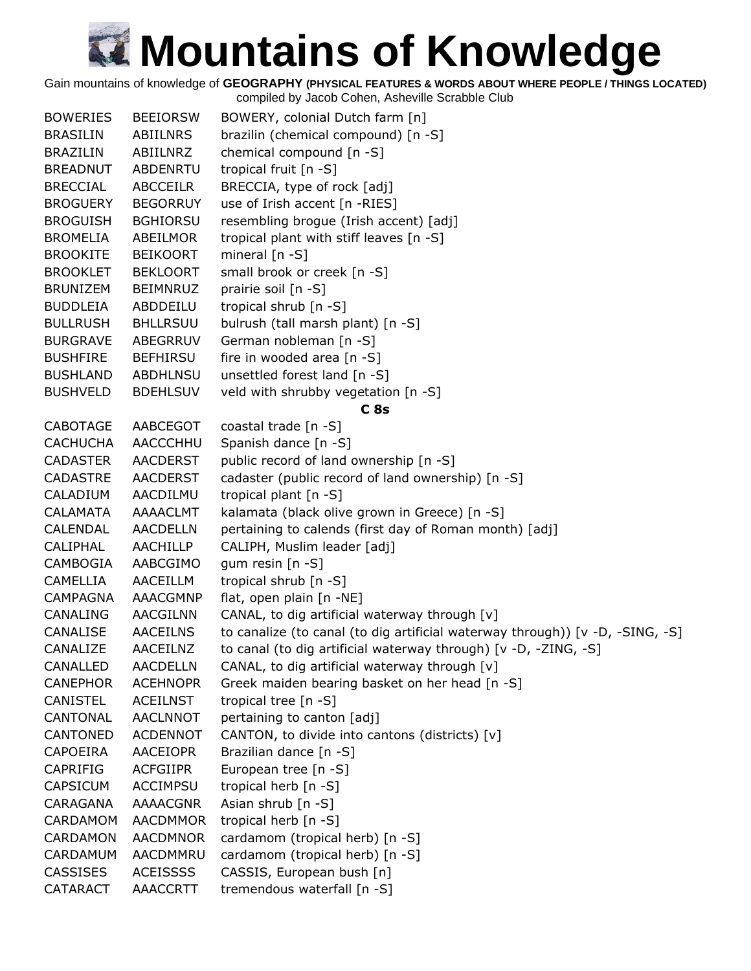Gain mountains of knowledge of **GEOGRAPHY (PHYSICAL FEATURES & WORDS ABOUT WHERE PEOPLE / THINGS LOCATED)**

| <b>BOWERIES</b> | <b>BEEIORSW</b> | BOWERY, colonial Dutch farm [n]                                               |
|-----------------|-----------------|-------------------------------------------------------------------------------|
| <b>BRASILIN</b> | ABIILNRS        | brazilin (chemical compound) [n -S]                                           |
| <b>BRAZILIN</b> | ABIILNRZ        | chemical compound [n -S]                                                      |
| <b>BREADNUT</b> | ABDENRTU        | tropical fruit [n -S]                                                         |
| <b>BRECCIAL</b> | <b>ABCCEILR</b> | BRECCIA, type of rock [adj]                                                   |
| <b>BROGUERY</b> | <b>BEGORRUY</b> | use of Irish accent [n -RIES]                                                 |
| <b>BROGUISH</b> | <b>BGHIORSU</b> | resembling brogue (Irish accent) [adj]                                        |
| <b>BROMELIA</b> | ABEILMOR        | tropical plant with stiff leaves [n -S]                                       |
| <b>BROOKITE</b> | <b>BEIKOORT</b> | mineral $[n - S]$                                                             |
| <b>BROOKLET</b> | <b>BEKLOORT</b> | small brook or creek [n -S]                                                   |
| <b>BRUNIZEM</b> | <b>BEIMNRUZ</b> | prairie soil [n -S]                                                           |
| <b>BUDDLEIA</b> | ABDDEILU        | tropical shrub [n -S]                                                         |
| <b>BULLRUSH</b> | <b>BHLLRSUU</b> | bulrush (tall marsh plant) [n -S]                                             |
| <b>BURGRAVE</b> | ABEGRRUV        | German nobleman [n -S]                                                        |
| <b>BUSHFIRE</b> | <b>BEFHIRSU</b> | fire in wooded area [n -S]                                                    |
| <b>BUSHLAND</b> | <b>ABDHLNSU</b> | unsettled forest land [n -S]                                                  |
| <b>BUSHVELD</b> | <b>BDEHLSUV</b> | veld with shrubby vegetation [n -S]                                           |
|                 |                 | C8s                                                                           |
| <b>CABOTAGE</b> | AABCEGOT        | coastal trade [n -S]                                                          |
| <b>CACHUCHA</b> | AACCCHHU        | Spanish dance [n -S]                                                          |
| <b>CADASTER</b> | <b>AACDERST</b> | public record of land ownership [n -S]                                        |
| <b>CADASTRE</b> | <b>AACDERST</b> | cadaster (public record of land ownership) [n -S]                             |
| CALADIUM        | AACDILMU        | tropical plant [n -S]                                                         |
| <b>CALAMATA</b> | AAAACLMT        | kalamata (black olive grown in Greece) [n -S]                                 |
| CALENDAL        | <b>AACDELLN</b> | pertaining to calends (first day of Roman month) [adj]                        |
| CALIPHAL        | AACHILLP        | CALIPH, Muslim leader [adj]                                                   |
| CAMBOGIA        | AABCGIMO        | gum resin [n -S]                                                              |
| <b>CAMELLIA</b> | <b>AACEILLM</b> | tropical shrub [n -S]                                                         |
| <b>CAMPAGNA</b> | AAACGMNP        | flat, open plain [n -NE]                                                      |
| <b>CANALING</b> | AACGILNN        | CANAL, to dig artificial waterway through [v]                                 |
| CANALISE        | <b>AACEILNS</b> | to canalize (to canal (to dig artificial waterway through)) [v -D, -SING, -S] |
| CANALIZE        | AACEILNZ        | to canal (to dig artificial waterway through) [v -D, -ZING, -S]               |
| CANALLED        | <b>AACDELLN</b> | CANAL, to dig artificial waterway through [v]                                 |
| <b>CANEPHOR</b> | <b>ACEHNOPR</b> | Greek maiden bearing basket on her head [n -S]                                |
| <b>CANISTEL</b> | <b>ACEILNST</b> | tropical tree [n -S]                                                          |
| CANTONAL        | <b>AACLNNOT</b> | pertaining to canton [adj]                                                    |
| CANTONED        | <b>ACDENNOT</b> | CANTON, to divide into cantons (districts) [v]                                |
| <b>CAPOEIRA</b> | <b>AACEIOPR</b> | Brazilian dance [n -S]                                                        |
| <b>CAPRIFIG</b> | <b>ACFGIIPR</b> | European tree [n -S]                                                          |
| <b>CAPSICUM</b> | <b>ACCIMPSU</b> | tropical herb [n -S]                                                          |
| CARAGANA        | AAAACGNR        | Asian shrub [n -S]                                                            |
| CARDAMOM        | <b>AACDMMOR</b> | tropical herb [n -S]                                                          |
| <b>CARDAMON</b> | <b>AACDMNOR</b> | cardamom (tropical herb) [n -S]                                               |
| CARDAMUM        | AACDMMRU        | cardamom (tropical herb) [n -S]                                               |
| <b>CASSISES</b> | <b>ACEISSSS</b> | CASSIS, European bush [n]                                                     |
| <b>CATARACT</b> | <b>AAACCRTT</b> | tremendous waterfall [n -S]                                                   |
|                 |                 |                                                                               |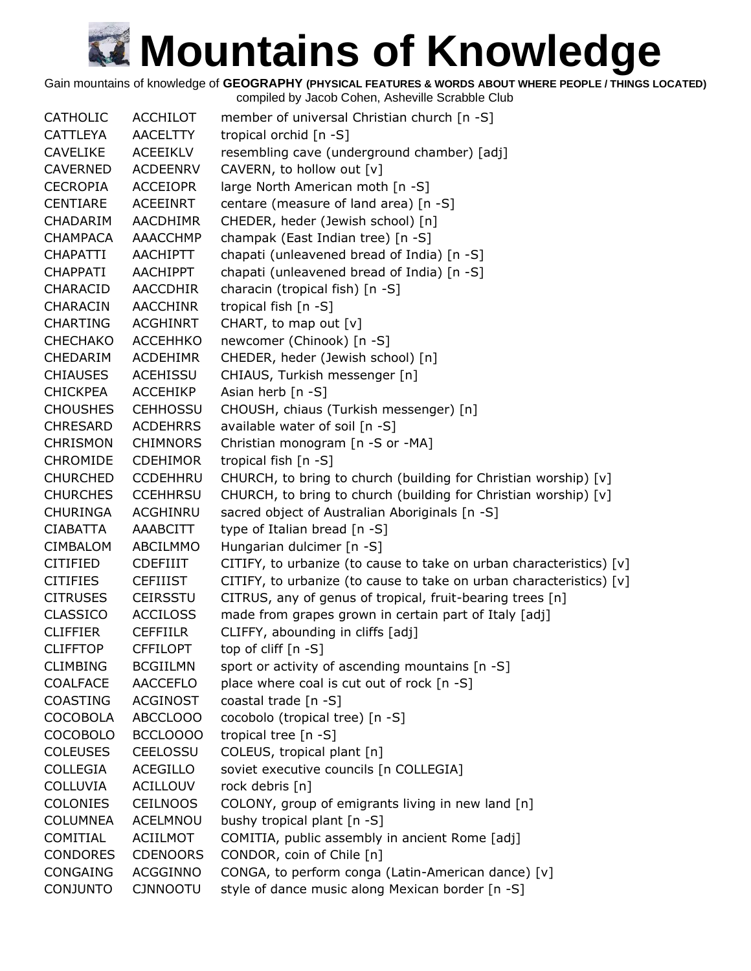Gain mountains of knowledge of **GEOGRAPHY (PHYSICAL FEATURES & WORDS ABOUT WHERE PEOPLE / THINGS LOCATED)**

| <b>CATHOLIC</b> | <b>ACCHILOT</b> | member of universal Christian church [n -S]                         |
|-----------------|-----------------|---------------------------------------------------------------------|
| <b>CATTLEYA</b> | <b>AACELTTY</b> | tropical orchid [n -S]                                              |
| <b>CAVELIKE</b> | <b>ACEEIKLV</b> | resembling cave (underground chamber) [adj]                         |
| <b>CAVERNED</b> | <b>ACDEENRV</b> | CAVERN, to hollow out [v]                                           |
| <b>CECROPIA</b> | <b>ACCEIOPR</b> | large North American moth [n -S]                                    |
| <b>CENTIARE</b> | <b>ACEEINRT</b> | centare (measure of land area) [n -S]                               |
| CHADARIM        | <b>AACDHIMR</b> | CHEDER, heder (Jewish school) [n]                                   |
| <b>CHAMPACA</b> | AAACCHMP        | champak (East Indian tree) [n -S]                                   |
| <b>CHAPATTI</b> | <b>AACHIPTT</b> | chapati (unleavened bread of India) [n -S]                          |
| <b>CHAPPATI</b> | <b>AACHIPPT</b> | chapati (unleavened bread of India) [n -S]                          |
| <b>CHARACID</b> | <b>AACCDHIR</b> | characin (tropical fish) [n -S]                                     |
| <b>CHARACIN</b> | <b>AACCHINR</b> | tropical fish [n -S]                                                |
| <b>CHARTING</b> | <b>ACGHINRT</b> | CHART, to map out [v]                                               |
| <b>CHECHAKO</b> | <b>ACCEHHKO</b> | newcomer (Chinook) [n -S]                                           |
| <b>CHEDARIM</b> | <b>ACDEHIMR</b> | CHEDER, heder (Jewish school) [n]                                   |
| <b>CHIAUSES</b> | <b>ACEHISSU</b> | CHIAUS, Turkish messenger [n]                                       |
| <b>CHICKPEA</b> | <b>ACCEHIKP</b> | Asian herb [n -S]                                                   |
| <b>CHOUSHES</b> | <b>CEHHOSSU</b> | CHOUSH, chiaus (Turkish messenger) [n]                              |
| <b>CHRESARD</b> | <b>ACDEHRRS</b> | available water of soil [n -S]                                      |
| <b>CHRISMON</b> | <b>CHIMNORS</b> | Christian monogram [n -S or -MA]                                    |
| <b>CHROMIDE</b> | <b>CDEHIMOR</b> | tropical fish [n -S]                                                |
| <b>CHURCHED</b> | <b>CCDEHHRU</b> | CHURCH, to bring to church (building for Christian worship) [v]     |
| <b>CHURCHES</b> | <b>CCEHHRSU</b> | CHURCH, to bring to church (building for Christian worship) [v]     |
|                 | <b>ACGHINRU</b> |                                                                     |
| <b>CHURINGA</b> |                 | sacred object of Australian Aboriginals [n -S]                      |
| CIABATTA        | AAABCITT        | type of Italian bread [n -S]                                        |
| <b>CIMBALOM</b> | ABCILMMO        | Hungarian dulcimer [n -S]                                           |
| <b>CITIFIED</b> | <b>CDEFIIIT</b> | CITIFY, to urbanize (to cause to take on urban characteristics) [v] |
| <b>CITIFIES</b> | <b>CEFIIIST</b> | CITIFY, to urbanize (to cause to take on urban characteristics) [v] |
| <b>CITRUSES</b> | <b>CEIRSSTU</b> | CITRUS, any of genus of tropical, fruit-bearing trees [n]           |
| <b>CLASSICO</b> | <b>ACCILOSS</b> | made from grapes grown in certain part of Italy [adj]               |
| <b>CLIFFIER</b> | <b>CEFFIILR</b> | CLIFFY, abounding in cliffs [adj]                                   |
| <b>CLIFFTOP</b> | <b>CFFILOPT</b> | top of cliff [n -S]                                                 |
| <b>CLIMBING</b> | <b>BCGIILMN</b> | sport or activity of ascending mountains [n -S]                     |
| <b>COALFACE</b> | <b>AACCEFLO</b> | place where coal is cut out of rock [n -S]                          |
| <b>COASTING</b> | <b>ACGINOST</b> | coastal trade [n -S]                                                |
| <b>COCOBOLA</b> | ABCCLOOO        | cocobolo (tropical tree) [n -S]                                     |
| <b>COCOBOLO</b> | BCCLOOOO        | tropical tree $[n - S]$                                             |
| <b>COLEUSES</b> | <b>CEELOSSU</b> | COLEUS, tropical plant [n]                                          |
| <b>COLLEGIA</b> | <b>ACEGILLO</b> | soviet executive councils [n COLLEGIA]                              |
| <b>COLLUVIA</b> | <b>ACILLOUV</b> | rock debris [n]                                                     |
| <b>COLONIES</b> | <b>CEILNOOS</b> | COLONY, group of emigrants living in new land [n]                   |
| <b>COLUMNEA</b> | <b>ACELMNOU</b> | bushy tropical plant $[n - S]$                                      |
| COMITIAL        | <b>ACIILMOT</b> | COMITIA, public assembly in ancient Rome [adj]                      |
| <b>CONDORES</b> | <b>CDENOORS</b> | CONDOR, coin of Chile [n]                                           |
| CONGAING        | <b>ACGGINNO</b> | CONGA, to perform conga (Latin-American dance) [v]                  |
| <b>CONJUNTO</b> | <b>CJNNOOTU</b> | style of dance music along Mexican border [n -S]                    |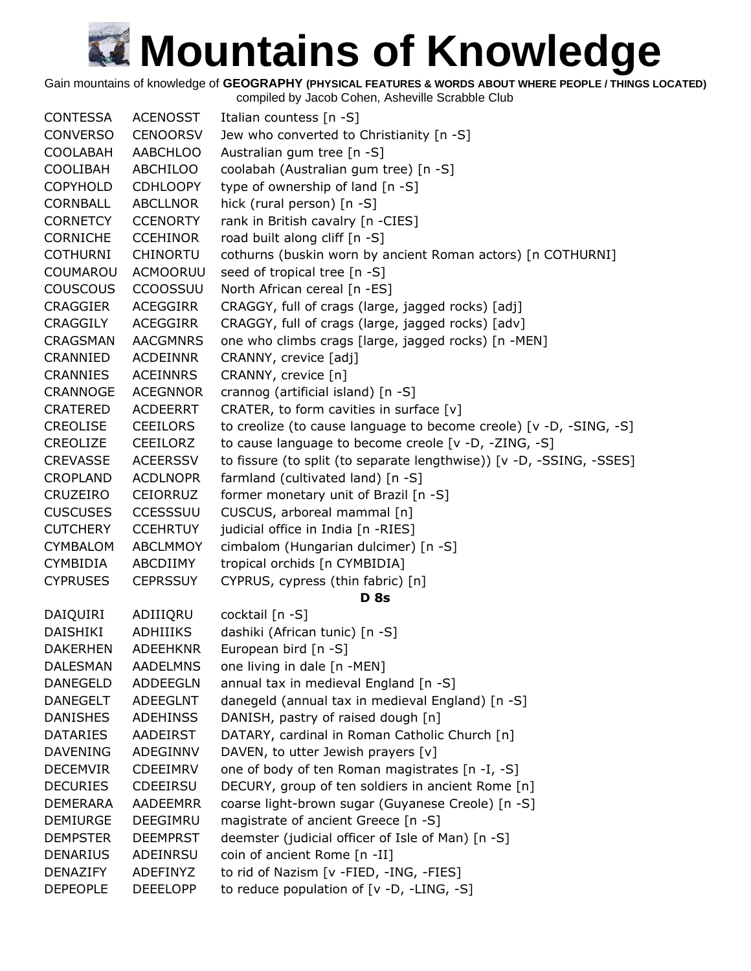Gain mountains of knowledge of **GEOGRAPHY (PHYSICAL FEATURES & WORDS ABOUT WHERE PEOPLE / THINGS LOCATED)**

| <b>CONTESSA</b> | <b>ACENOSST</b> | Italian countess [n -S]                                              |
|-----------------|-----------------|----------------------------------------------------------------------|
| <b>CONVERSO</b> | <b>CENOORSV</b> | Jew who converted to Christianity [n -S]                             |
| <b>COOLABAH</b> | <b>AABCHLOO</b> | Australian gum tree [n -S]                                           |
| <b>COOLIBAH</b> | ABCHILOO        | coolabah (Australian gum tree) [n -S]                                |
| <b>COPYHOLD</b> | <b>CDHLOOPY</b> | type of ownership of land [n -S]                                     |
| <b>CORNBALL</b> | <b>ABCLLNOR</b> | hick (rural person) [n -S]                                           |
| <b>CORNETCY</b> | <b>CCENORTY</b> | rank in British cavalry [n -CIES]                                    |
| <b>CORNICHE</b> | <b>CCEHINOR</b> | road built along cliff [n -S]                                        |
| <b>COTHURNI</b> | CHINORTU        | cothurns (buskin worn by ancient Roman actors) [n COTHURNI]          |
| COUMAROU        | <b>ACMOORUU</b> | seed of tropical tree [n -S]                                         |
| <b>COUSCOUS</b> | <b>CCOOSSUU</b> | North African cereal [n -ES]                                         |
| <b>CRAGGIER</b> | ACEGGIRR        | CRAGGY, full of crags (large, jagged rocks) [adj]                    |
| <b>CRAGGILY</b> | ACEGGIRR        | CRAGGY, full of crags (large, jagged rocks) [adv]                    |
| CRAGSMAN        | <b>AACGMNRS</b> | one who climbs crags [large, jagged rocks) [n -MEN]                  |
| CRANNIED        | ACDEINNR        | CRANNY, crevice [adj]                                                |
| <b>CRANNIES</b> | <b>ACEINNRS</b> | CRANNY, crevice [n]                                                  |
| CRANNOGE        | <b>ACEGNNOR</b> | crannog (artificial island) [n -S]                                   |
| <b>CRATERED</b> | <b>ACDEERRT</b> | CRATER, to form cavities in surface [v]                              |
| <b>CREOLISE</b> | <b>CEEILORS</b> | to creolize (to cause language to become creole) [v -D, -SING, -S]   |
| CREOLIZE        | CEEILORZ        | to cause language to become creole [v -D, -ZING, -S]                 |
| <b>CREVASSE</b> | <b>ACEERSSV</b> | to fissure (to split (to separate lengthwise)) [v -D, -SSING, -SSES] |
| <b>CROPLAND</b> | <b>ACDLNOPR</b> | farmland (cultivated land) [n -S]                                    |
| <b>CRUZEIRO</b> | <b>CEIORRUZ</b> | former monetary unit of Brazil [n -S]                                |
| <b>CUSCUSES</b> | <b>CCESSSUU</b> | CUSCUS, arboreal mammal [n]                                          |
| <b>CUTCHERY</b> | <b>CCEHRTUY</b> | judicial office in India [n -RIES]                                   |
| <b>CYMBALOM</b> | ABCLMMOY        | cimbalom (Hungarian dulcimer) [n -S]                                 |
| <b>CYMBIDIA</b> | ABCDIIMY        | tropical orchids [n CYMBIDIA]                                        |
| <b>CYPRUSES</b> | <b>CEPRSSUY</b> | CYPRUS, cypress (thin fabric) [n]                                    |
|                 |                 | <b>D</b> 8s                                                          |
| DAIQUIRI        | ADIIIQRU        | cocktail [n -S]                                                      |
| DAISHIKI        | <b>ADHIIIKS</b> | dashiki (African tunic) [n -S]                                       |
| <b>DAKERHEN</b> | <b>ADEEHKNR</b> | European bird [n -S]                                                 |
| <b>DALESMAN</b> | <b>AADELMNS</b> | one living in dale [n -MEN]                                          |
| <b>DANEGELD</b> | <b>ADDEEGLN</b> | annual tax in medieval England [n -S]                                |
| <b>DANEGELT</b> | ADEEGLNT        | danegeld (annual tax in medieval England) [n -S]                     |
| <b>DANISHES</b> | <b>ADEHINSS</b> | DANISH, pastry of raised dough [n]                                   |
| <b>DATARIES</b> | AADEIRST        | DATARY, cardinal in Roman Catholic Church [n]                        |
| <b>DAVENING</b> | ADEGINNV        | DAVEN, to utter Jewish prayers [v]                                   |
| <b>DECEMVIR</b> | <b>CDEEIMRV</b> | one of body of ten Roman magistrates [n -I, -S]                      |
| <b>DECURIES</b> | <b>CDEEIRSU</b> | DECURY, group of ten soldiers in ancient Rome [n]                    |
| <b>DEMERARA</b> | <b>AADEEMRR</b> | coarse light-brown sugar (Guyanese Creole) [n -S]                    |
| <b>DEMIURGE</b> | DEEGIMRU        | magistrate of ancient Greece [n -S]                                  |
| <b>DEMPSTER</b> | <b>DEEMPRST</b> | deemster (judicial officer of Isle of Man) [n -S]                    |
| <b>DENARIUS</b> | ADEINRSU        | coin of ancient Rome [n -II]                                         |
| <b>DENAZIFY</b> | ADEFINYZ        | to rid of Nazism [v -FIED, -ING, -FIES]                              |
| <b>DEPEOPLE</b> | <b>DEEELOPP</b> | to reduce population of [v -D, -LING, -S]                            |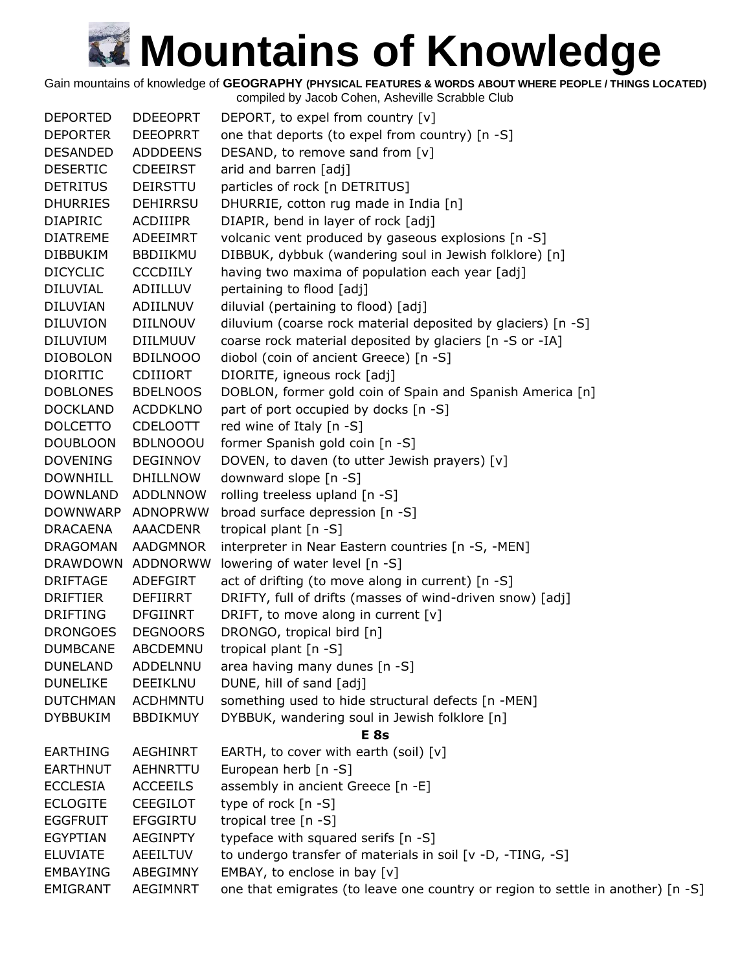Gain mountains of knowledge of **GEOGRAPHY (PHYSICAL FEATURES & WORDS ABOUT WHERE PEOPLE / THINGS LOCATED)**

| <b>DEPORTED</b> | <b>DDEEOPRT</b>                    | DEPORT, to expel from country [v]                                               |
|-----------------|------------------------------------|---------------------------------------------------------------------------------|
| <b>DEPORTER</b> | <b>DEEOPRRT</b>                    | one that deports (to expel from country) [n -S]                                 |
| <b>DESANDED</b> | <b>ADDDEENS</b>                    | DESAND, to remove sand from [v]                                                 |
| <b>DESERTIC</b> | <b>CDEEIRST</b>                    | arid and barren [adj]                                                           |
| <b>DETRITUS</b> | DEIRSTTU                           | particles of rock [n DETRITUS]                                                  |
| <b>DHURRIES</b> | <b>DEHIRRSU</b>                    | DHURRIE, cotton rug made in India [n]                                           |
| <b>DIAPIRIC</b> | ACDIIIPR                           | DIAPIR, bend in layer of rock [adj]                                             |
| <b>DIATREME</b> | ADEEIMRT                           | volcanic vent produced by gaseous explosions [n -S]                             |
| <b>DIBBUKIM</b> | <b>BBDIIKMU</b>                    | DIBBUK, dybbuk (wandering soul in Jewish folklore) [n]                          |
| <b>DICYCLIC</b> | <b>CCCDIILY</b>                    | having two maxima of population each year [adj]                                 |
| <b>DILUVIAL</b> | ADIILLUV                           | pertaining to flood [adj]                                                       |
| <b>DILUVIAN</b> | ADIILNUV                           | diluvial (pertaining to flood) [adj]                                            |
| <b>DILUVION</b> | <b>DIILNOUV</b>                    | diluvium (coarse rock material deposited by glaciers) [n -S]                    |
| <b>DILUVIUM</b> | <b>DIILMUUV</b>                    | coarse rock material deposited by glaciers [n -S or -IA]                        |
| <b>DIOBOLON</b> | <b>BDILNOOO</b>                    | diobol (coin of ancient Greece) [n -S]                                          |
| <b>DIORITIC</b> | <b>CDIIIORT</b>                    | DIORITE, igneous rock [adj]                                                     |
| <b>DOBLONES</b> | <b>BDELNOOS</b>                    | DOBLON, former gold coin of Spain and Spanish America [n]                       |
| <b>DOCKLAND</b> | <b>ACDDKLNO</b>                    |                                                                                 |
|                 | <b>CDELOOTT</b>                    | part of port occupied by docks [n -S]<br>red wine of Italy [n -S]               |
| <b>DOLCETTO</b> |                                    |                                                                                 |
| <b>DOUBLOON</b> | <b>BDLNOOOU</b><br><b>DEGINNOV</b> | former Spanish gold coin [n -S]                                                 |
| <b>DOVENING</b> |                                    | DOVEN, to daven (to utter Jewish prayers) [v]                                   |
| <b>DOWNHILL</b> | <b>DHILLNOW</b>                    | downward slope [n -S]                                                           |
| <b>DOWNLAND</b> | <b>ADDLNNOW</b>                    | rolling treeless upland [n -S]                                                  |
| <b>DOWNWARP</b> | ADNOPRWW                           | broad surface depression [n -S]                                                 |
| <b>DRACAENA</b> | AAACDENR                           | tropical plant [n -S]                                                           |
| <b>DRAGOMAN</b> | AADGMNOR                           | interpreter in Near Eastern countries [n -S, -MEN]                              |
| <b>DRAWDOWN</b> | ADDNORWW                           | lowering of water level [n -S]                                                  |
| <b>DRIFTAGE</b> | ADEFGIRT                           | act of drifting (to move along in current) [n -S]                               |
| <b>DRIFTIER</b> | <b>DEFIIRRT</b>                    | DRIFTY, full of drifts (masses of wind-driven snow) [adj]                       |
| <b>DRIFTING</b> | <b>DFGIINRT</b>                    | DRIFT, to move along in current [v]                                             |
| <b>DRONGOES</b> | <b>DEGNOORS</b>                    | DRONGO, tropical bird [n]                                                       |
| <b>DUMBCANE</b> | ABCDEMNU                           | tropical plant [n -S]                                                           |
| <b>DUNELAND</b> | ADDELNNU                           | area having many dunes [n -S]                                                   |
| <b>DUNELIKE</b> | DEEIKLNU                           | DUNE, hill of sand [adj]                                                        |
| <b>DUTCHMAN</b> | <b>ACDHMNTU</b>                    | something used to hide structural defects [n -MEN]                              |
| <b>DYBBUKIM</b> | <b>BBDIKMUY</b>                    | DYBBUK, wandering soul in Jewish folklore [n]                                   |
|                 |                                    | E <sub>8s</sub>                                                                 |
| <b>EARTHING</b> | <b>AEGHINRT</b>                    | EARTH, to cover with earth (soil) $[v]$                                         |
| <b>EARTHNUT</b> | <b>AEHNRTTU</b>                    | European herb [n -S]                                                            |
| <b>ECCLESIA</b> | <b>ACCEEILS</b>                    | assembly in ancient Greece [n -E]                                               |
| <b>ECLOGITE</b> | <b>CEEGILOT</b>                    | type of rock $[n - S]$                                                          |
| <b>EGGFRUIT</b> | <b>EFGGIRTU</b>                    | tropical tree [n -S]                                                            |
| <b>EGYPTIAN</b> | <b>AEGINPTY</b>                    | typeface with squared serifs [n -S]                                             |
| <b>ELUVIATE</b> | AEEILTUV                           | to undergo transfer of materials in soil [v -D, -TING, -S]                      |
| <b>EMBAYING</b> | ABEGIMNY                           | EMBAY, to enclose in bay [v]                                                    |
| EMIGRANT        | <b>AEGIMNRT</b>                    | one that emigrates (to leave one country or region to settle in another) [n -S] |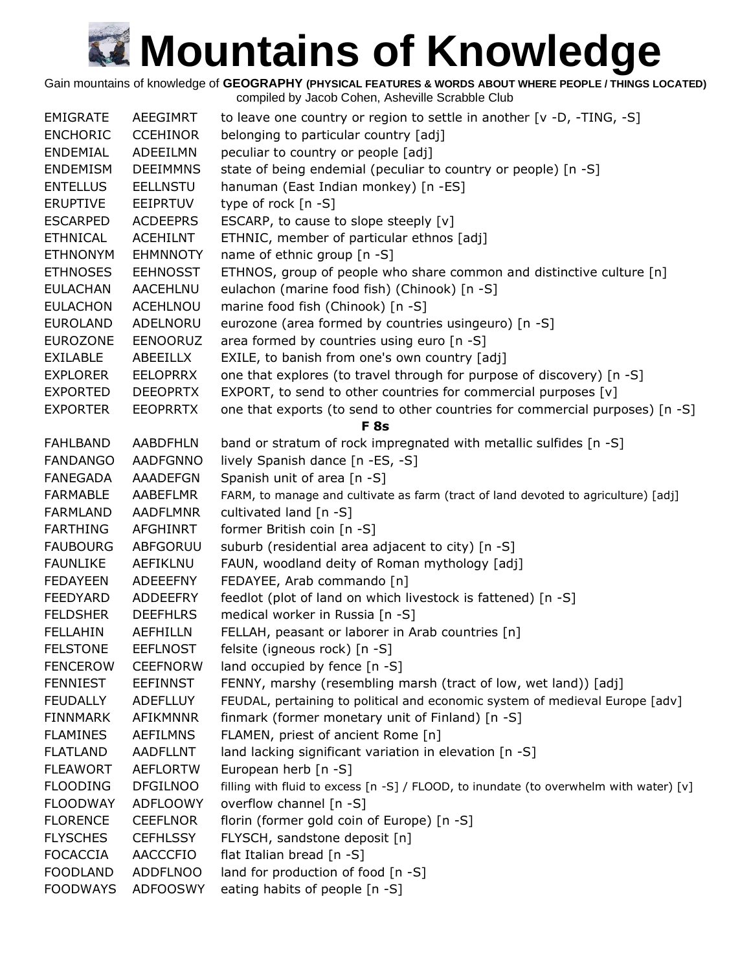Gain mountains of knowledge of **GEOGRAPHY (PHYSICAL FEATURES & WORDS ABOUT WHERE PEOPLE / THINGS LOCATED)**

| <b>EMIGRATE</b> | <b>AEEGIMRT</b> | to leave one country or region to settle in another $[v -D, -TING, -S]$                |
|-----------------|-----------------|----------------------------------------------------------------------------------------|
| <b>ENCHORIC</b> | <b>CCEHINOR</b> | belonging to particular country [adj]                                                  |
| ENDEMIAL        | ADEEILMN        | peculiar to country or people [adj]                                                    |
| <b>ENDEMISM</b> | <b>DEEIMMNS</b> | state of being endemial (peculiar to country or people) [n -S]                         |
| <b>ENTELLUS</b> | <b>EELLNSTU</b> | hanuman (East Indian monkey) [n -ES]                                                   |
| <b>ERUPTIVE</b> | <b>EEIPRTUV</b> | type of rock $[n - S]$                                                                 |
| <b>ESCARPED</b> | <b>ACDEEPRS</b> | ESCARP, to cause to slope steeply [v]                                                  |
| <b>ETHNICAL</b> | <b>ACEHILNT</b> | ETHNIC, member of particular ethnos [adj]                                              |
| <b>ETHNONYM</b> | <b>EHMNNOTY</b> | name of ethnic group [n -S]                                                            |
| <b>ETHNOSES</b> | <b>EEHNOSST</b> | ETHNOS, group of people who share common and distinctive culture [n]                   |
| <b>EULACHAN</b> | AACEHLNU        | eulachon (marine food fish) (Chinook) [n -S]                                           |
| <b>EULACHON</b> | <b>ACEHLNOU</b> | marine food fish (Chinook) [n -S]                                                      |
| <b>EUROLAND</b> | ADELNORU        | eurozone (area formed by countries usingeuro) [n -S]                                   |
| <b>EUROZONE</b> | EENOORUZ        | area formed by countries using euro [n -S]                                             |
| <b>EXILABLE</b> | ABEEILLX        | EXILE, to banish from one's own country [adj]                                          |
| <b>EXPLORER</b> | <b>EELOPRRX</b> | one that explores (to travel through for purpose of discovery) [n -S]                  |
| <b>EXPORTED</b> | <b>DEEOPRTX</b> | EXPORT, to send to other countries for commercial purposes [v]                         |
| <b>EXPORTER</b> | <b>EEOPRRTX</b> | one that exports (to send to other countries for commercial purposes) [n -S]           |
|                 |                 | <b>F</b> 8s                                                                            |
| <b>FAHLBAND</b> | <b>AABDFHLN</b> | band or stratum of rock impregnated with metallic sulfides [n -S]                      |
| <b>FANDANGO</b> | <b>AADFGNNO</b> | lively Spanish dance [n -ES, -S]                                                       |
| FANEGADA        | AAADEFGN        | Spanish unit of area [n -S]                                                            |
| <b>FARMABLE</b> | AABEFLMR        | FARM, to manage and cultivate as farm (tract of land devoted to agriculture) [adj]     |
| <b>FARMLAND</b> | <b>AADFLMNR</b> | cultivated land [n -S]                                                                 |
| <b>FARTHING</b> | AFGHINRT        | former British coin [n -S]                                                             |
| <b>FAUBOURG</b> | ABFGORUU        | suburb (residential area adjacent to city) [n -S]                                      |
| <b>FAUNLIKE</b> | AEFIKLNU        | FAUN, woodland deity of Roman mythology [adj]                                          |
| <b>FEDAYEEN</b> | <b>ADEEEFNY</b> | FEDAYEE, Arab commando [n]                                                             |
| FEEDYARD        | <b>ADDEEFRY</b> | feedlot (plot of land on which livestock is fattened) [n -S]                           |
| <b>FELDSHER</b> | <b>DEEFHLRS</b> | medical worker in Russia [n -S]                                                        |
| <b>FELLAHIN</b> | <b>AEFHILLN</b> | FELLAH, peasant or laborer in Arab countries [n]                                       |
| <b>FELSTONE</b> | <b>EEFLNOST</b> | felsite (igneous rock) [n -S]                                                          |
| <b>FENCEROW</b> | <b>CEEFNORW</b> | land occupied by fence [n -S]                                                          |
| <b>FENNIEST</b> | <b>EEFINNST</b> | FENNY, marshy (resembling marsh (tract of low, wet land)) [adj]                        |
| <b>FEUDALLY</b> | <b>ADEFLLUY</b> | FEUDAL, pertaining to political and economic system of medieval Europe [adv]           |
| <b>FINNMARK</b> | AFIKMNNR        | finmark (former monetary unit of Finland) [n -S]                                       |
| <b>FLAMINES</b> | <b>AEFILMNS</b> | FLAMEN, priest of ancient Rome [n]                                                     |
| <b>FLATLAND</b> | <b>AADFLLNT</b> | land lacking significant variation in elevation [n -S]                                 |
| <b>FLEAWORT</b> | <b>AEFLORTW</b> | European herb [n -S]                                                                   |
| <b>FLOODING</b> | <b>DFGILNOO</b> | filling with fluid to excess [n -S] / FLOOD, to inundate (to overwhelm with water) [v] |
| <b>FLOODWAY</b> | <b>ADFLOOWY</b> | overflow channel [n -S]                                                                |
| <b>FLORENCE</b> | <b>CEEFLNOR</b> | florin (former gold coin of Europe) [n -S]                                             |
| <b>FLYSCHES</b> | <b>CEFHLSSY</b> | FLYSCH, sandstone deposit [n]                                                          |
| <b>FOCACCIA</b> | <b>AACCCFIO</b> | flat Italian bread [n -S]                                                              |
| <b>FOODLAND</b> | <b>ADDFLNOO</b> | land for production of food [n -S]                                                     |
| <b>FOODWAYS</b> | ADFOOSWY        | eating habits of people [n -S]                                                         |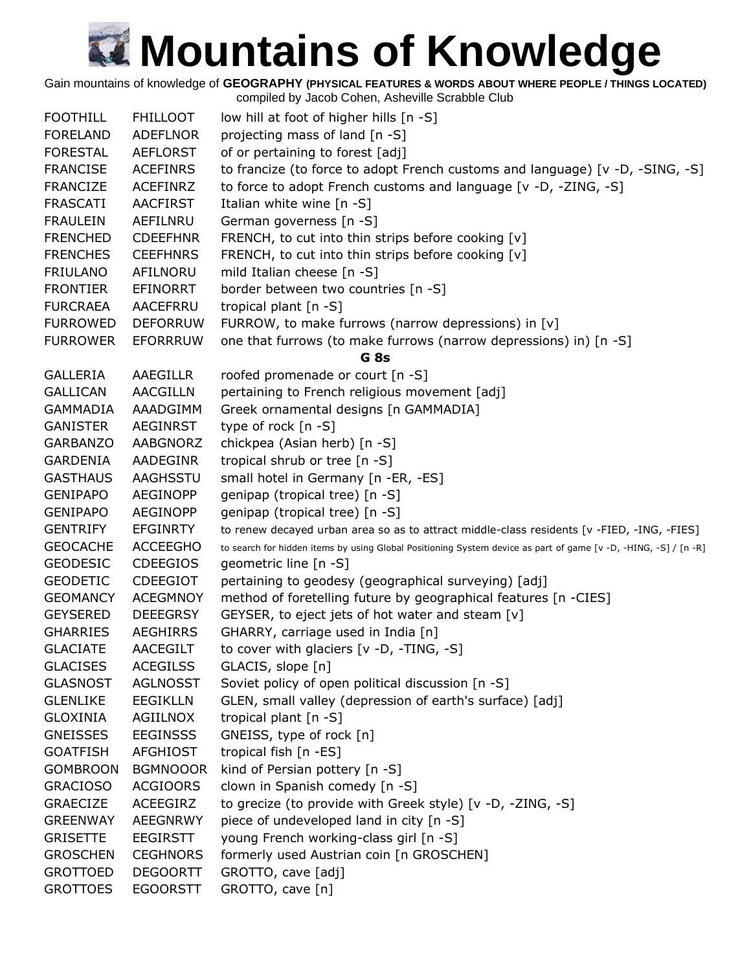Gain mountains of knowledge of **GEOGRAPHY (PHYSICAL FEATURES & WORDS ABOUT WHERE PEOPLE / THINGS LOCATED)**

| <b>FOOTHILL</b> | <b>FHILLOOT</b> | low hill at foot of higher hills [n -S]                                                                         |
|-----------------|-----------------|-----------------------------------------------------------------------------------------------------------------|
| <b>FORELAND</b> | <b>ADEFLNOR</b> | projecting mass of land [n -S]                                                                                  |
| <b>FORESTAL</b> | <b>AEFLORST</b> | of or pertaining to forest [adj]                                                                                |
| <b>FRANCISE</b> | <b>ACEFINRS</b> | to francize (to force to adopt French customs and language) [v -D, -SING, -S]                                   |
| <b>FRANCIZE</b> | <b>ACEFINRZ</b> | to force to adopt French customs and language [v -D, -ZING, -S]                                                 |
| <b>FRASCATI</b> | <b>AACFIRST</b> | Italian white wine $[n - S]$                                                                                    |
| <b>FRAULEIN</b> | AEFILNRU        | German governess [n -S]                                                                                         |
| <b>FRENCHED</b> | <b>CDEEFHNR</b> | FRENCH, to cut into thin strips before cooking [v]                                                              |
| <b>FRENCHES</b> | <b>CEEFHNRS</b> | FRENCH, to cut into thin strips before cooking [v]                                                              |
| <b>FRIULANO</b> | AFILNORU        | mild Italian cheese [n -S]                                                                                      |
| <b>FRONTIER</b> | <b>EFINORRT</b> | border between two countries [n -S]                                                                             |
| <b>FURCRAEA</b> | AACEFRRU        | tropical plant [n -S]                                                                                           |
| <b>FURROWED</b> | <b>DEFORRUW</b> | FURROW, to make furrows (narrow depressions) in [v]                                                             |
| <b>FURROWER</b> | <b>EFORRRUW</b> | one that furrows (to make furrows (narrow depressions) in) [n -S]                                               |
|                 |                 | G <sub>8s</sub>                                                                                                 |
| <b>GALLERIA</b> | AAEGILLR        | roofed promenade or court [n -S]                                                                                |
| <b>GALLICAN</b> | <b>AACGILLN</b> | pertaining to French religious movement [adj]                                                                   |
| <b>GAMMADIA</b> | AAADGIMM        | Greek ornamental designs [n GAMMADIA]                                                                           |
| <b>GANISTER</b> | <b>AEGINRST</b> | type of rock [n -S]                                                                                             |
| <b>GARBANZO</b> | AABGNORZ        | chickpea (Asian herb) [n -S]                                                                                    |
| <b>GARDENIA</b> | AADEGINR        | tropical shrub or tree [n -S]                                                                                   |
| <b>GASTHAUS</b> | AAGHSSTU        | small hotel in Germany [n -ER, -ES]                                                                             |
| <b>GENIPAPO</b> | <b>AEGINOPP</b> | genipap (tropical tree) [n -S]                                                                                  |
| <b>GENIPAPO</b> | <b>AEGINOPP</b> | genipap (tropical tree) [n -S]                                                                                  |
| <b>GENTRIFY</b> | <b>EFGINRTY</b> | to renew decayed urban area so as to attract middle-class residents [v -FIED, -ING, -FIES]                      |
| <b>GEOCACHE</b> | <b>ACCEEGHO</b> | to search for hidden items by using Global Positioning System device as part of game [v -D, -HING, -S] / [n -R] |
| <b>GEODESIC</b> | <b>CDEEGIOS</b> | geometric line [n -S]                                                                                           |
| <b>GEODETIC</b> | <b>CDEEGIOT</b> | pertaining to geodesy (geographical surveying) [adj]                                                            |
| <b>GEOMANCY</b> | <b>ACEGMNOY</b> | method of foretelling future by geographical features [n -CIES]                                                 |
| <b>GEYSERED</b> | <b>DEEEGRSY</b> | GEYSER, to eject jets of hot water and steam [v]                                                                |
| <b>GHARRIES</b> | <b>AEGHIRRS</b> | GHARRY, carriage used in India [n]                                                                              |
| <b>GLACIATE</b> | <b>AACEGILT</b> | to cover with glaciers [v -D, -TING, -S]                                                                        |
| <b>GLACISES</b> | <b>ACEGILSS</b> | GLACIS, slope [n]                                                                                               |
| <b>GLASNOST</b> | <b>AGLNOSST</b> | Soviet policy of open political discussion [n -S]                                                               |
| <b>GLENLIKE</b> | <b>EEGIKLLN</b> | GLEN, small valley (depression of earth's surface) [adj]                                                        |
| <b>GLOXINIA</b> | AGIILNOX        | tropical plant [n -S]                                                                                           |
| <b>GNEISSES</b> | <b>EEGINSSS</b> | GNEISS, type of rock [n]                                                                                        |
| <b>GOATFISH</b> | <b>AFGHIOST</b> | tropical fish [n -ES]                                                                                           |
| <b>GOMBROON</b> | <b>BGMNOOOR</b> | kind of Persian pottery [n -S]                                                                                  |
| <b>GRACIOSO</b> | <b>ACGIOORS</b> | clown in Spanish comedy [n -S]                                                                                  |
| <b>GRAECIZE</b> | ACEEGIRZ        | to grecize (to provide with Greek style) [v -D, -ZING, -S]                                                      |
| <b>GREENWAY</b> | AEEGNRWY        | piece of undeveloped land in city [n -S]                                                                        |
| <b>GRISETTE</b> | <b>EEGIRSTT</b> | young French working-class girl [n -S]                                                                          |
| <b>GROSCHEN</b> | <b>CEGHNORS</b> | formerly used Austrian coin [n GROSCHEN]                                                                        |
| <b>GROTTOED</b> | <b>DEGOORTT</b> | GROTTO, cave [adj]                                                                                              |
| <b>GROTTOES</b> | <b>EGOORSTT</b> | GROTTO, cave [n]                                                                                                |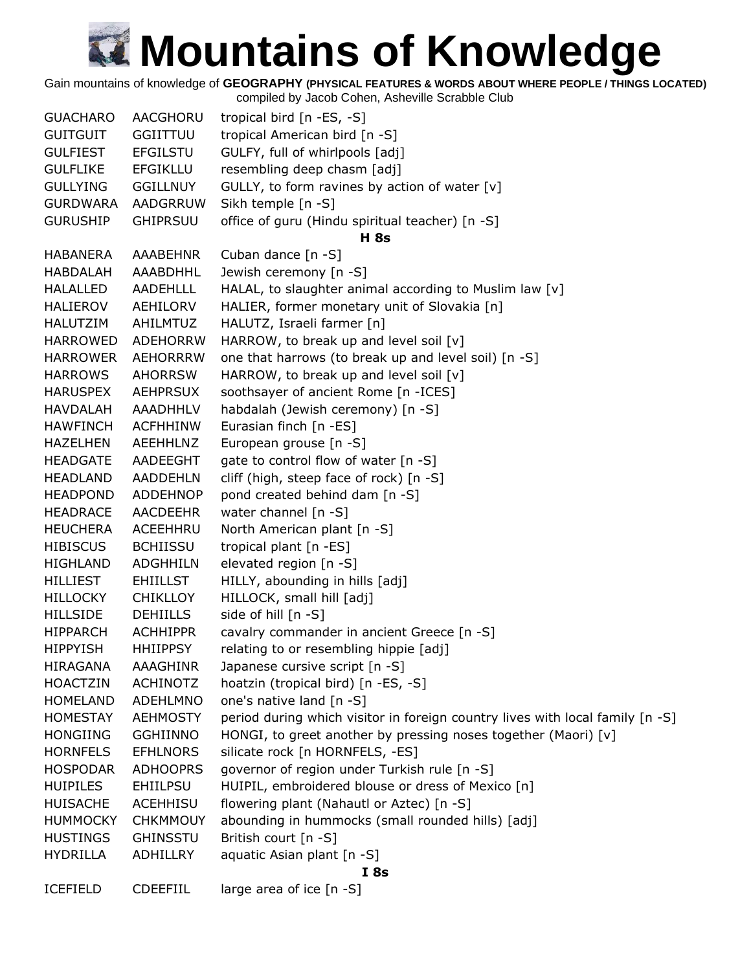Gain mountains of knowledge of **GEOGRAPHY (PHYSICAL FEATURES & WORDS ABOUT WHERE PEOPLE / THINGS LOCATED)**

| <b>GUACHARO</b> | AACGHORU        | tropical bird [n -ES, -S]                                                     |
|-----------------|-----------------|-------------------------------------------------------------------------------|
| <b>GUITGUIT</b> | <b>GGIITTUU</b> | tropical American bird [n -S]                                                 |
| <b>GULFIEST</b> | <b>EFGILSTU</b> | GULFY, full of whirlpools [adj]                                               |
| <b>GULFLIKE</b> | <b>EFGIKLLU</b> | resembling deep chasm [adj]                                                   |
| <b>GULLYING</b> | <b>GGILLNUY</b> | GULLY, to form ravines by action of water [v]                                 |
| <b>GURDWARA</b> | AADGRRUW        | Sikh temple [n -S]                                                            |
| <b>GURUSHIP</b> | <b>GHIPRSUU</b> | office of guru (Hindu spiritual teacher) [n -S]                               |
|                 |                 | <b>H</b> 8s                                                                   |
| <b>HABANERA</b> | <b>AAABEHNR</b> | Cuban dance [n -S]                                                            |
| <b>HABDALAH</b> | AAABDHHL        | Jewish ceremony [n -S]                                                        |
| <b>HALALLED</b> | <b>AADEHLLL</b> | HALAL, to slaughter animal according to Muslim law [v]                        |
| <b>HALIEROV</b> | AEHILORV        | HALIER, former monetary unit of Slovakia [n]                                  |
| <b>HALUTZIM</b> | AHILMTUZ        | HALUTZ, Israeli farmer [n]                                                    |
| <b>HARROWED</b> | <b>ADEHORRW</b> | HARROW, to break up and level soil [v]                                        |
| <b>HARROWER</b> | <b>AEHORRRW</b> | one that harrows (to break up and level soil) [n -S]                          |
| <b>HARROWS</b>  | <b>AHORRSW</b>  | HARROW, to break up and level soil [v]                                        |
| <b>HARUSPEX</b> | <b>AEHPRSUX</b> | soothsayer of ancient Rome [n -ICES]                                          |
| <b>HAVDALAH</b> | <b>AAADHHLV</b> | habdalah (Jewish ceremony) [n -S]                                             |
| <b>HAWFINCH</b> | <b>ACFHHINW</b> | Eurasian finch [n -ES]                                                        |
| <b>HAZELHEN</b> | AEEHHLNZ        | European grouse [n -S]                                                        |
| <b>HEADGATE</b> | AADEEGHT        | gate to control flow of water [n -S]                                          |
| HEADLAND        | <b>AADDEHLN</b> | cliff (high, steep face of rock) [n -S]                                       |
| <b>HEADPOND</b> | <b>ADDEHNOP</b> | pond created behind dam [n -S]                                                |
| <b>HEADRACE</b> | <b>AACDEEHR</b> | water channel [n -S]                                                          |
| <b>HEUCHERA</b> | ACEEHHRU        | North American plant [n -S]                                                   |
| <b>HIBISCUS</b> | <b>BCHIISSU</b> | tropical plant [n -ES]                                                        |
| <b>HIGHLAND</b> | <b>ADGHHILN</b> | elevated region [n -S]                                                        |
| <b>HILLIEST</b> | <b>EHIILLST</b> | HILLY, abounding in hills [adj]                                               |
| <b>HILLOCKY</b> | <b>CHIKLLOY</b> | HILLOCK, small hill [adj]                                                     |
| <b>HILLSIDE</b> | <b>DEHIILLS</b> | side of hill [n -S]                                                           |
| <b>HIPPARCH</b> | <b>ACHHIPPR</b> | cavalry commander in ancient Greece [n -S]                                    |
| <b>HIPPYISH</b> | <b>HHIIPPSY</b> | relating to or resembling hippie [adj]                                        |
| <b>HIRAGANA</b> | <b>AAAGHINR</b> | Japanese cursive script [n -S]                                                |
| <b>HOACTZIN</b> | <b>ACHINOTZ</b> | hoatzin (tropical bird) [n -ES, -S]                                           |
| <b>HOMELAND</b> | ADEHLMNO        | one's native land [n -S]                                                      |
| <b>HOMESTAY</b> | <b>AEHMOSTY</b> | period during which visitor in foreign country lives with local family [n -S] |
| <b>HONGIING</b> | <b>GGHIINNO</b> | HONGI, to greet another by pressing noses together (Maori) [v]                |
| <b>HORNFELS</b> | <b>EFHLNORS</b> | silicate rock [n HORNFELS, -ES]                                               |
| <b>HOSPODAR</b> | <b>ADHOOPRS</b> | governor of region under Turkish rule [n -S]                                  |
| <b>HUIPILES</b> | <b>EHIILPSU</b> | HUIPIL, embroidered blouse or dress of Mexico [n]                             |
| <b>HUISACHE</b> | <b>ACEHHISU</b> | flowering plant (Nahautl or Aztec) [n -S]                                     |
| <b>HUMMOCKY</b> | <b>CHKMMOUY</b> | abounding in hummocks (small rounded hills) [adj]                             |
| <b>HUSTINGS</b> | <b>GHINSSTU</b> | British court [n -S]                                                          |
| <b>HYDRILLA</b> | ADHILLRY        | aquatic Asian plant [n -S]                                                    |
|                 |                 | <b>I</b> 8s                                                                   |
| <b>ICEFIELD</b> | <b>CDEEFIIL</b> | large area of ice [n -S]                                                      |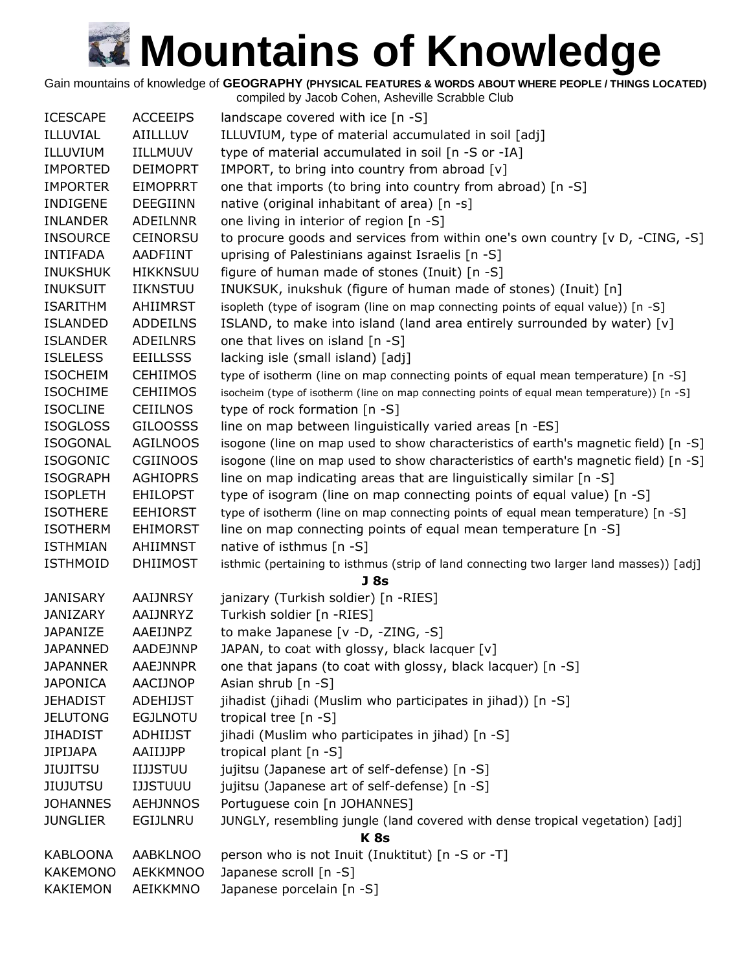Gain mountains of knowledge of **GEOGRAPHY (PHYSICAL FEATURES & WORDS ABOUT WHERE PEOPLE / THINGS LOCATED)**

compiled by Jacob Cohen, Asheville Scrabble Club ICESCAPE ACCEEIPS landscape covered with ice [n -S] ILLUVIAL AIILLLUV ILLUVIUM, type of material accumulated in soil [adj] ILLUVIUM IILLMUUV type of material accumulated in soil [n -S or -IA] IMPORTED DEIMOPRT IMPORT, to bring into country from abroad [v] IMPORTER EIMOPRRT one that imports (to bring into country from abroad) [n -S] INDIGENE DEEGIINN native (original inhabitant of area) [n -s] INLANDER ADEILNNR one living in interior of region [n -S] INSOURCE CEINORSU to procure goods and services from within one's own country [v D, -CING, -S] INTIFADA AADFIINT uprising of Palestinians against Israelis [n -S] INUKSHUK HIKKNSUU figure of human made of stones (Inuit) [n -S] INUKSUIT IIKNSTUU INUKSUK, inukshuk (figure of human made of stones) (Inuit) [n] ISARITHM AHIIMRST isopleth (type of isogram (line on map connecting points of equal value)) [n -S] ISLANDED ADDEILNS ISLAND, to make into island (land area entirely surrounded by water) [v] ISLANDER ADEILNRS one that lives on island [n -S] ISLELESS EEILLSSS lacking isle (small island) [adj] ISOCHEIM CEHIIMOS type of isotherm (line on map connecting points of equal mean temperature) [n -S] ISOCHIME CEHIIMOS isocheim (type of isotherm (line on map connecting points of equal mean temperature)) [n -S] ISOCLINE CEIILNOS type of rock formation [n -S] ISOGLOSS GILOOSSS line on map between linguistically varied areas [n -ES] ISOGONAL AGILNOOS isogone (line on map used to show characteristics of earth's magnetic field) [n -S] ISOGONIC CGIINOOS isogone (line on map used to show characteristics of earth's magnetic field) [n -S] ISOGRAPH AGHIOPRS line on map indicating areas that are linguistically similar  $[n -S]$ ISOPLETH EHILOPST type of isogram (line on map connecting points of equal value) [n -S] ISOTHERE EEHIORST type of isotherm (line on map connecting points of equal mean temperature) [n -S] ISOTHERM EHIMORST line on map connecting points of equal mean temperature [n -S] ISTHMIAN AHIIMNST native of isthmus [n -S] ISTHMOID DHIIMOST isthmic (pertaining to isthmus (strip of land connecting two larger land masses)) [adj] **J 8s** JANISARY AAIJNRSY janizary (Turkish soldier) [n -RIES] JANIZARY AAIJNRYZ Turkish soldier [n -RIES] JAPANIZE AAEIJNPZ to make Japanese [v -D, -ZING, -S] JAPANNED AADEJNNP JAPAN, to coat with glossy, black lacquer [v] JAPANNER AAEJNNPR one that japans (to coat with glossy, black lacquer) [n -S] JAPONICA AACIJNOP Asian shrub [n -S] JEHADIST ADEHIJST jihadist (jihadi (Muslim who participates in jihad)) [n -S] JELUTONG EGJLNOTU tropical tree [n -S] JIHADIST ADHIIJST jihadi (Muslim who participates in jihad) [n -S] JIPIJAPA AAIIJJPP tropical plant [n -S] JIUJITSU IIJJSTUU jujitsu (Japanese art of self-defense) [n -S] JIUJUTSU IJJSTUUU jujitsu (Japanese art of self-defense) [n -S] JOHANNES AEHJNNOS Portuguese coin [n JOHANNES] JUNGLIER EGIJLNRU JUNGLY, resembling jungle (land covered with dense tropical vegetation) [adj] **K 8s** KABLOONA AABKLNOO person who is not Inuit (Inuktitut) [n -S or -T] KAKEMONO AEKKMNOO Japanese scroll [n -S] KAKIEMON AEIKKMNO Japanese porcelain [n -S]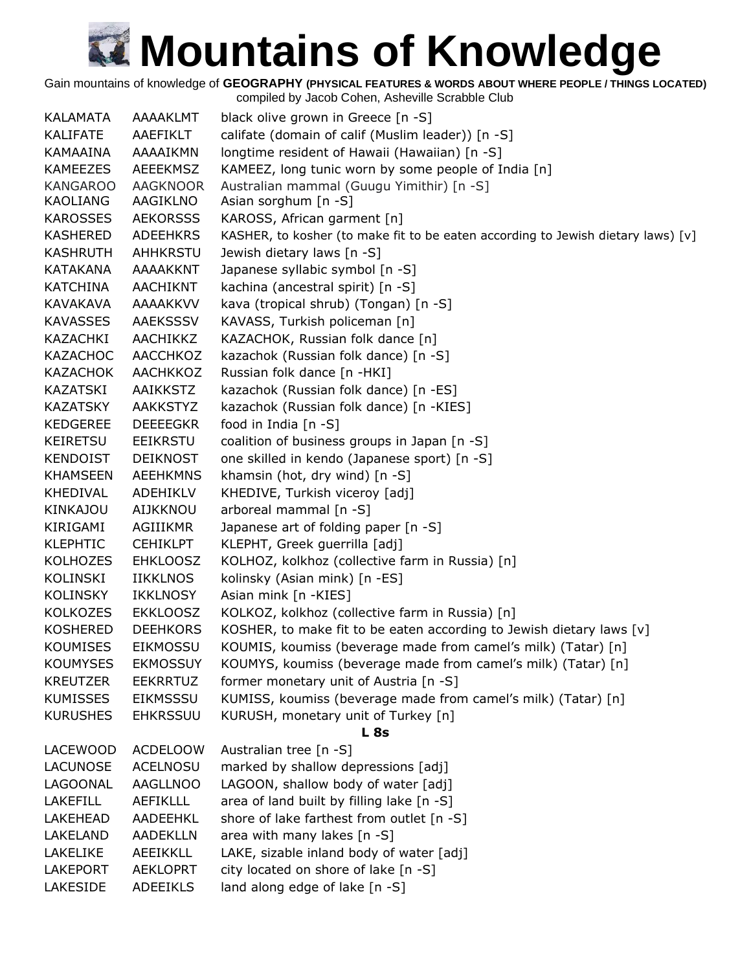Gain mountains of knowledge of **GEOGRAPHY (PHYSICAL FEATURES & WORDS ABOUT WHERE PEOPLE / THINGS LOCATED)**

| <b>KALAMATA</b> | AAAAKLMT        | black olive grown in Greece [n -S]                                               |
|-----------------|-----------------|----------------------------------------------------------------------------------|
| <b>KALIFATE</b> | AAEFIKLT        | califate (domain of calif (Muslim leader)) [n -S]                                |
| KAMAAINA        | AAAAIKMN        | longtime resident of Hawaii (Hawaiian) [n -S]                                    |
| <b>KAMEEZES</b> | <b>AEEEKMSZ</b> | KAMEEZ, long tunic worn by some people of India [n]                              |
| <b>KANGAROO</b> | <b>AAGKNOOR</b> | Australian mammal (Guugu Yimithir) [n -S]                                        |
| KAOLIANG        | AAGIKLNO        | Asian sorghum [n -S]                                                             |
| <b>KAROSSES</b> | <b>AEKORSSS</b> | KAROSS, African garment [n]                                                      |
| <b>KASHERED</b> | <b>ADEEHKRS</b> | KASHER, to kosher (to make fit to be eaten according to Jewish dietary laws) [v] |
| <b>KASHRUTH</b> | AHHKRSTU        | Jewish dietary laws [n -S]                                                       |
| <b>KATAKANA</b> | AAAAKKNT        | Japanese syllabic symbol [n -S]                                                  |
| <b>KATCHINA</b> | <b>AACHIKNT</b> | kachina (ancestral spirit) [n -S]                                                |
| KAVAKAVA        | <b>AAAAKKVV</b> | kava (tropical shrub) (Tongan) [n -S]                                            |
| <b>KAVASSES</b> | <b>AAEKSSSV</b> | KAVASS, Turkish policeman [n]                                                    |
| KAZACHKI        | AACHIKKZ        | KAZACHOK, Russian folk dance [n]                                                 |
| <b>KAZACHOC</b> | AACCHKOZ        | kazachok (Russian folk dance) [n -S]                                             |
| KAZACHOK        | AACHKKOZ        | Russian folk dance [n -HKI]                                                      |
| KAZATSKI        | AAIKKSTZ        | kazachok (Russian folk dance) [n -ES]                                            |
| <b>KAZATSKY</b> | <b>AAKKSTYZ</b> | kazachok (Russian folk dance) [n -KIES]                                          |
| <b>KEDGEREE</b> | <b>DEEEEGKR</b> | food in India [n -S]                                                             |
| KEIRETSU        | <b>EEIKRSTU</b> | coalition of business groups in Japan [n -S]                                     |
| <b>KENDOIST</b> | <b>DEIKNOST</b> | one skilled in kendo (Japanese sport) [n -S]                                     |
| <b>KHAMSEEN</b> | <b>AEEHKMNS</b> | khamsin (hot, dry wind) [n -S]                                                   |
| <b>KHEDIVAL</b> | ADEHIKLV        | KHEDIVE, Turkish viceroy [adj]                                                   |
| <b>KINKAJOU</b> | AIJKKNOU        | arboreal mammal [n -S]                                                           |
| KIRIGAMI        | AGIIIKMR        | Japanese art of folding paper [n -S]                                             |
| <b>KLEPHTIC</b> | <b>CEHIKLPT</b> | KLEPHT, Greek guerrilla [adj]                                                    |
| <b>KOLHOZES</b> | <b>EHKLOOSZ</b> | KOLHOZ, kolkhoz (collective farm in Russia) [n]                                  |
| KOLINSKI        | <b>IIKKLNOS</b> | kolinsky (Asian mink) [n -ES]                                                    |
| <b>KOLINSKY</b> | <b>IKKLNOSY</b> | Asian mink [n -KIES]                                                             |
| <b>KOLKOZES</b> | <b>EKKLOOSZ</b> | KOLKOZ, kolkhoz (collective farm in Russia) [n]                                  |
| <b>KOSHERED</b> | <b>DEEHKORS</b> | KOSHER, to make fit to be eaten according to Jewish dietary laws [v]             |
| <b>KOUMISES</b> | <b>EIKMOSSU</b> | KOUMIS, koumiss (beverage made from camel's milk) (Tatar) [n]                    |
| <b>KOUMYSES</b> | <b>EKMOSSUY</b> | KOUMYS, koumiss (beverage made from camel's milk) (Tatar) [n]                    |
| <b>KREUTZER</b> | <b>EEKRRTUZ</b> | former monetary unit of Austria [n -S]                                           |
| <b>KUMISSES</b> | <b>EIKMSSSU</b> | KUMISS, koumiss (beverage made from camel's milk) (Tatar) [n]                    |
| <b>KURUSHES</b> | <b>EHKRSSUU</b> | KURUSH, monetary unit of Turkey [n]                                              |
|                 |                 | L <sub>8s</sub>                                                                  |
| LACEWOOD        | <b>ACDELOOW</b> | Australian tree [n -S]                                                           |
| <b>LACUNOSE</b> | ACELNOSU        | marked by shallow depressions [adj]                                              |
| LAGOONAL        | <b>AAGLLNOO</b> | LAGOON, shallow body of water [adj]                                              |
| <b>LAKEFILL</b> | <b>AEFIKLLL</b> | area of land built by filling lake [n -S]                                        |
| <b>LAKEHEAD</b> | AADEEHKL        | shore of lake farthest from outlet [n -S]                                        |
| LAKELAND        | <b>AADEKLLN</b> | area with many lakes [n -S]                                                      |
| LAKELIKE        | <b>AEEIKKLL</b> | LAKE, sizable inland body of water [adj]                                         |
| <b>LAKEPORT</b> | <b>AEKLOPRT</b> | city located on shore of lake [n -S]                                             |
| LAKESIDE        | <b>ADEEIKLS</b> | land along edge of lake [n -S]                                                   |
|                 |                 |                                                                                  |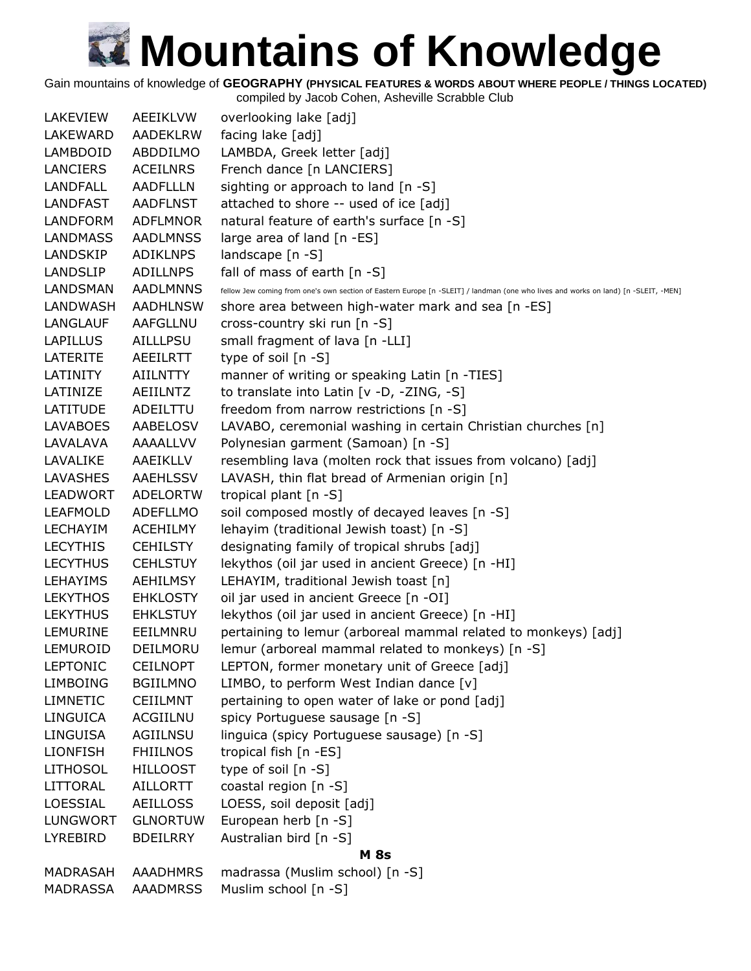Gain mountains of knowledge of **GEOGRAPHY (PHYSICAL FEATURES & WORDS ABOUT WHERE PEOPLE / THINGS LOCATED)**

| LAKEVIEW        | <b>AEEIKLVW</b> | overlooking lake [adj]                                                                                                             |
|-----------------|-----------------|------------------------------------------------------------------------------------------------------------------------------------|
| LAKEWARD        | <b>AADEKLRW</b> | facing lake [adj]                                                                                                                  |
| LAMBDOID        | ABDDILMO        | LAMBDA, Greek letter [adj]                                                                                                         |
| LANCIERS        | <b>ACEILNRS</b> | French dance [n LANCIERS]                                                                                                          |
| <b>LANDFALL</b> | <b>AADFLLLN</b> | sighting or approach to land $[n -S]$                                                                                              |
| <b>LANDFAST</b> | <b>AADFLNST</b> | attached to shore -- used of ice [adj]                                                                                             |
| LANDFORM        | <b>ADFLMNOR</b> | natural feature of earth's surface [n -S]                                                                                          |
| <b>LANDMASS</b> | <b>AADLMNSS</b> | large area of land [n -ES]                                                                                                         |
| LANDSKIP        | ADIKLNPS        | landscape $[n -S]$                                                                                                                 |
| <b>LANDSLIP</b> | <b>ADILLNPS</b> | fall of mass of earth [n -S]                                                                                                       |
| LANDSMAN        | <b>AADLMNNS</b> | fellow Jew coming from one's own section of Eastern Europe [n -SLEIT] / landman (one who lives and works on land) [n -SLEIT, -MEN] |
| LANDWASH        | <b>AADHLNSW</b> | shore area between high-water mark and sea [n -ES]                                                                                 |
| <b>LANGLAUF</b> | AAFGLLNU        | cross-country ski run [n -S]                                                                                                       |
| <b>LAPILLUS</b> | AILLLPSU        | small fragment of lava [n -LLI]                                                                                                    |
| LATERITE        | AEEILRTT        | type of soil $[n - S]$                                                                                                             |
| <b>LATINITY</b> | <b>AIILNTTY</b> | manner of writing or speaking Latin [n -TIES]                                                                                      |
| LATINIZE        | AEIILNTZ        | to translate into Latin [v -D, -ZING, -S]                                                                                          |
| LATITUDE        | ADEILTTU        | freedom from narrow restrictions [n -S]                                                                                            |
| <b>LAVABOES</b> | AABELOSV        | LAVABO, ceremonial washing in certain Christian churches [n]                                                                       |
| LAVALAVA        | AAAALLVV        | Polynesian garment (Samoan) [n -S]                                                                                                 |
| LAVALIKE        | AAEIKLLV        | resembling lava (molten rock that issues from volcano) [adj]                                                                       |
| LAVASHES        | <b>AAEHLSSV</b> | LAVASH, thin flat bread of Armenian origin [n]                                                                                     |
| <b>LEADWORT</b> | <b>ADELORTW</b> | tropical plant [n -S]                                                                                                              |
| <b>LEAFMOLD</b> | <b>ADEFLLMO</b> | soil composed mostly of decayed leaves [n -S]                                                                                      |
| <b>LECHAYIM</b> | <b>ACEHILMY</b> | lehayim (traditional Jewish toast) [n -S]                                                                                          |
| <b>LECYTHIS</b> | <b>CEHILSTY</b> | designating family of tropical shrubs [adj]                                                                                        |
| <b>LECYTHUS</b> | <b>CEHLSTUY</b> | lekythos (oil jar used in ancient Greece) [n -HI]                                                                                  |
| <b>LEHAYIMS</b> | AEHILMSY        | LEHAYIM, traditional Jewish toast [n]                                                                                              |
| <b>LEKYTHOS</b> | <b>EHKLOSTY</b> | oil jar used in ancient Greece [n -OI]                                                                                             |
| <b>LEKYTHUS</b> | <b>EHKLSTUY</b> | lekythos (oil jar used in ancient Greece) [n -HI]                                                                                  |
| LEMURINE        | EEILMNRU        | pertaining to lemur (arboreal mammal related to monkeys) [adj]                                                                     |
| LEMUROID        | DEILMORU        | lemur (arboreal mammal related to monkeys) [n -S]                                                                                  |
| <b>LEPTONIC</b> | <b>CEILNOPT</b> | LEPTON, former monetary unit of Greece [adj]                                                                                       |
| <b>LIMBOING</b> | <b>BGIILMNO</b> | LIMBO, to perform West Indian dance [v]                                                                                            |
| <b>LIMNETIC</b> | CEIILMNT        | pertaining to open water of lake or pond [adj]                                                                                     |
| <b>LINGUICA</b> | ACGIILNU        | spicy Portuguese sausage [n -S]                                                                                                    |
| <b>LINGUISA</b> | AGIILNSU        | linguica (spicy Portuguese sausage) [n -S]                                                                                         |
| <b>LIONFISH</b> | <b>FHIILNOS</b> | tropical fish [n -ES]                                                                                                              |
| <b>LITHOSOL</b> | <b>HILLOOST</b> | type of soil [n -S]                                                                                                                |
| <b>LITTORAL</b> | <b>AILLORTT</b> | coastal region [n -S]                                                                                                              |
| LOESSIAL        | <b>AEILLOSS</b> | LOESS, soil deposit [adj]                                                                                                          |
| <b>LUNGWORT</b> | <b>GLNORTUW</b> | European herb [n -S]                                                                                                               |
| LYREBIRD        | <b>BDEILRRY</b> | Australian bird [n -S]                                                                                                             |
|                 |                 | <b>M</b> 8s                                                                                                                        |
| MADRASAH        | <b>AAADHMRS</b> | madrassa (Muslim school) [n -S]                                                                                                    |
| <b>MADRASSA</b> | <b>AAADMRSS</b> | Muslim school [n -S]                                                                                                               |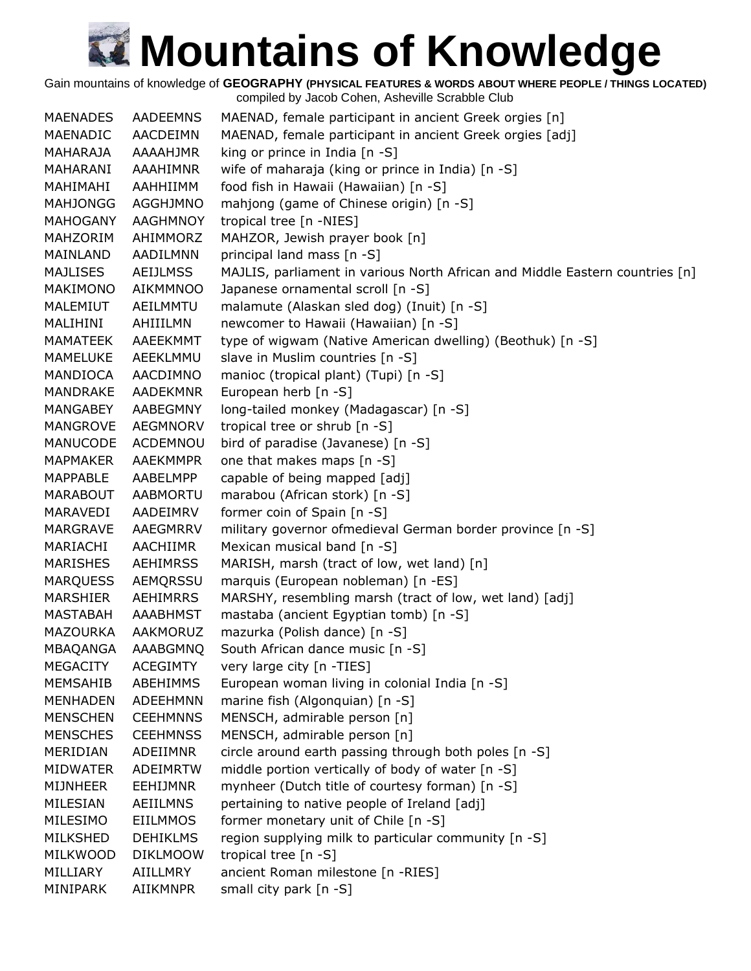Gain mountains of knowledge of **GEOGRAPHY (PHYSICAL FEATURES & WORDS ABOUT WHERE PEOPLE / THINGS LOCATED)**

| <b>MAENADES</b> | <b>AADEEMNS</b> | MAENAD, female participant in ancient Greek orgies [n]                       |
|-----------------|-----------------|------------------------------------------------------------------------------|
| MAENADIC        | AACDEIMN        | MAENAD, female participant in ancient Greek orgies [adj]                     |
| MAHARAJA        | AAAAHJMR        | king or prince in India [n -S]                                               |
| MAHARANI        | AAAHIMNR        | wife of maharaja (king or prince in India) [n -S]                            |
| MAHIMAHI        | AAHHIIMM        | food fish in Hawaii (Hawaiian) [n -S]                                        |
| <b>MAHJONGG</b> | AGGHJMNO        | mahjong (game of Chinese origin) [n -S]                                      |
| <b>MAHOGANY</b> | <b>AAGHMNOY</b> | tropical tree [n -NIES]                                                      |
| MAHZORIM        | AHIMMORZ        | MAHZOR, Jewish prayer book [n]                                               |
| MAINLAND        | AADILMNN        | principal land mass [n -S]                                                   |
| <b>MAJLISES</b> | <b>AEIJLMSS</b> | MAJLIS, parliament in various North African and Middle Eastern countries [n] |
| MAKIMONO        | AIKMMNOO        | Japanese ornamental scroll [n -S]                                            |
| MALEMIUT        | AEILMMTU        | malamute (Alaskan sled dog) (Inuit) [n -S]                                   |
| MALIHINI        | AHIIILMN        | newcomer to Hawaii (Hawaiian) [n -S]                                         |
| MAMATEEK        | AAEEKMMT        | type of wigwam (Native American dwelling) (Beothuk) [n -S]                   |
| MAMELUKE        | AEEKLMMU        | slave in Muslim countries [n -S]                                             |
| MANDIOCA        | AACDIMNO        | manioc (tropical plant) (Tupi) [n -S]                                        |
| MANDRAKE        | <b>AADEKMNR</b> | European herb [n -S]                                                         |
| MANGABEY        | AABEGMNY        | long-tailed monkey (Madagascar) [n -S]                                       |
| MANGROVE        | AEGMNORV        | tropical tree or shrub [n -S]                                                |
| MANUCODE        | ACDEMNOU        | bird of paradise (Javanese) [n -S]                                           |
| MAPMAKER        | AAEKMMPR        | one that makes maps [n -S]                                                   |
| MAPPABLE        | AABELMPP        | capable of being mapped [adj]                                                |
| <b>MARABOUT</b> | AABMORTU        | marabou (African stork) [n -S]                                               |
| MARAVEDI        | AADEIMRV        | former coin of Spain [n -S]                                                  |
| MARGRAVE        | AAEGMRRV        | military governor ofmedieval German border province [n -S]                   |
| MARIACHI        | AACHIIMR        | Mexican musical band [n -S]                                                  |
| <b>MARISHES</b> | <b>AEHIMRSS</b> | MARISH, marsh (tract of low, wet land) [n]                                   |
| <b>MARQUESS</b> | AEMQRSSU        | marquis (European nobleman) [n -ES]                                          |
| MARSHIER        | AEHIMRRS        | MARSHY, resembling marsh (tract of low, wet land) [adj]                      |
| MASTABAH        | AAABHMST        | mastaba (ancient Egyptian tomb) [n -S]                                       |
| MAZOURKA        | AAKMORUZ        | mazurka (Polish dance) [n -S]                                                |
| MBAQANGA        | AAABGMNQ        | South African dance music [n -S]                                             |
| <b>MEGACITY</b> | <b>ACEGIMTY</b> | very large city [n -TIES]                                                    |
| <b>MEMSAHIB</b> | ABEHIMMS        | European woman living in colonial India [n -S]                               |
| <b>MENHADEN</b> | <b>ADEEHMNN</b> | marine fish (Algonquian) [n -S]                                              |
| <b>MENSCHEN</b> | <b>CEEHMNNS</b> | MENSCH, admirable person [n]                                                 |
| <b>MENSCHES</b> | <b>CEEHMNSS</b> | MENSCH, admirable person [n]                                                 |
| MERIDIAN        | ADEIIMNR        | circle around earth passing through both poles [n -S]                        |
| <b>MIDWATER</b> | <b>ADEIMRTW</b> | middle portion vertically of body of water [n -S]                            |
| <b>MIJNHEER</b> | <b>EEHIJMNR</b> | mynheer (Dutch title of courtesy forman) [n -S]                              |
| MILESIAN        | AEIILMNS        | pertaining to native people of Ireland [adj]                                 |
| MILESIMO        | <b>EIILMMOS</b> | former monetary unit of Chile [n -S]                                         |
| MILKSHED        | <b>DEHIKLMS</b> | region supplying milk to particular community [n -S]                         |
| MILKWOOD        | <b>DIKLMOOW</b> | tropical tree [n -S]                                                         |
| MILLIARY        | AIILLMRY        | ancient Roman milestone [n -RIES]                                            |
| MINIPARK        | AIIKMNPR        | small city park [n -S]                                                       |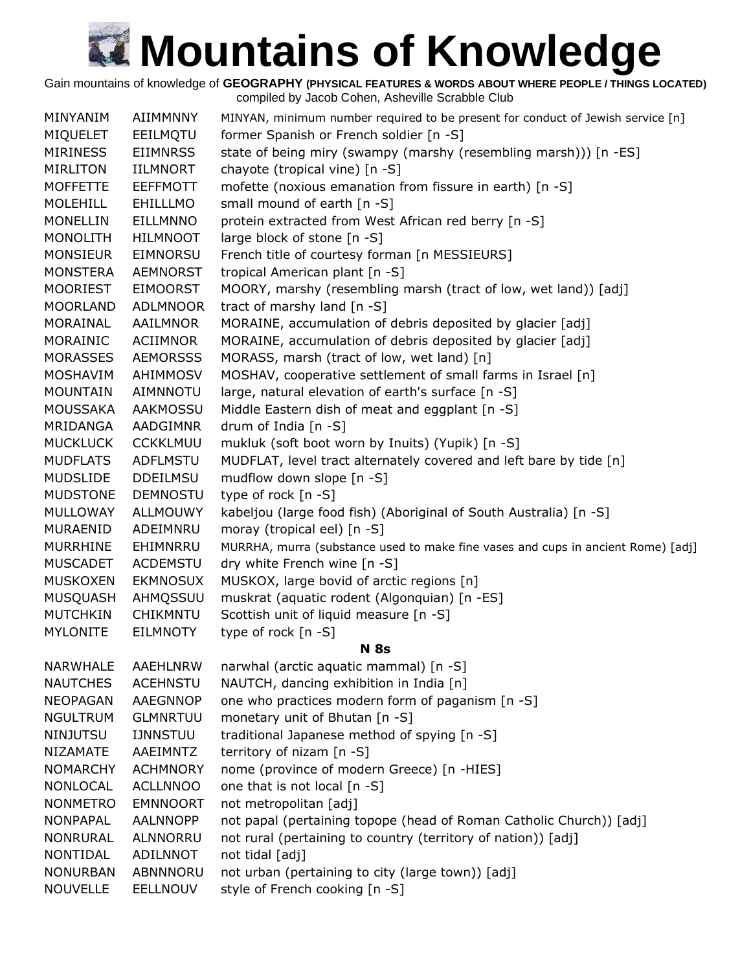Gain mountains of knowledge of **GEOGRAPHY (PHYSICAL FEATURES & WORDS ABOUT WHERE PEOPLE / THINGS LOCATED)**

| MINYANIM        | <b>AIIMMNNY</b> | MINYAN, minimum number required to be present for conduct of Jewish service [n]  |
|-----------------|-----------------|----------------------------------------------------------------------------------|
| <b>MIQUELET</b> | EEILMQTU        | former Spanish or French soldier [n -S]                                          |
| <b>MIRINESS</b> | <b>EIIMNRSS</b> | state of being miry (swampy (marshy (resembling marsh))) [n -ES]                 |
| <b>MIRLITON</b> | <b>IILMNORT</b> | chayote (tropical vine) [n -S]                                                   |
| <b>MOFFETTE</b> | <b>EEFFMOTT</b> | mofette (noxious emanation from fissure in earth) [n -S]                         |
| <b>MOLEHILL</b> | EHILLLMO        | small mound of earth [n -S]                                                      |
| <b>MONELLIN</b> | <b>EILLMNNO</b> | protein extracted from West African red berry [n -S]                             |
| <b>MONOLITH</b> | <b>HILMNOOT</b> | large block of stone [n -S]                                                      |
| <b>MONSIEUR</b> | EIMNORSU        | French title of courtesy forman [n MESSIEURS]                                    |
| <b>MONSTERA</b> | <b>AEMNORST</b> | tropical American plant [n -S]                                                   |
| MOORIEST        | <b>EIMOORST</b> | MOORY, marshy (resembling marsh (tract of low, wet land)) [adj]                  |
| <b>MOORLAND</b> | <b>ADLMNOOR</b> | tract of marshy land [n -S]                                                      |
| MORAINAL        | AAILMNOR        | MORAINE, accumulation of debris deposited by glacier [adj]                       |
| MORAINIC        | ACIIMNOR        | MORAINE, accumulation of debris deposited by glacier [adj]                       |
| <b>MORASSES</b> | <b>AEMORSSS</b> | MORASS, marsh (tract of low, wet land) [n]                                       |
| MOSHAVIM        | AHIMMOSV        | MOSHAV, cooperative settlement of small farms in Israel [n]                      |
| <b>MOUNTAIN</b> | <b>AIMNNOTU</b> | large, natural elevation of earth's surface [n -S]                               |
| <b>MOUSSAKA</b> | <b>AAKMOSSU</b> | Middle Eastern dish of meat and eggplant [n -S]                                  |
| MRIDANGA        | AADGIMNR        | drum of India [n -S]                                                             |
| <b>MUCKLUCK</b> | <b>CCKKLMUU</b> | mukluk (soft boot worn by Inuits) (Yupik) [n -S]                                 |
| <b>MUDFLATS</b> | <b>ADFLMSTU</b> | MUDFLAT, level tract alternately covered and left bare by tide [n]               |
| <b>MUDSLIDE</b> | <b>DDEILMSU</b> | mudflow down slope [n -S]                                                        |
| <b>MUDSTONE</b> | <b>DEMNOSTU</b> | type of rock [n -S]                                                              |
| MULLOWAY        | <b>ALLMOUWY</b> | kabeljou (large food fish) (Aboriginal of South Australia) [n -S]                |
| MURAENID        | ADEIMNRU        | moray (tropical eel) [n -S]                                                      |
| <b>MURRHINE</b> | EHIMNRRU        | MURRHA, murra (substance used to make fine vases and cups in ancient Rome) [adj] |
| <b>MUSCADET</b> | <b>ACDEMSTU</b> | dry white French wine [n -S]                                                     |
| <b>MUSKOXEN</b> | <b>EKMNOSUX</b> | MUSKOX, large bovid of arctic regions [n]                                        |
| <b>MUSQUASH</b> | AHMQSSUU        | muskrat (aquatic rodent (Algonquian) [n -ES]                                     |
| <b>MUTCHKIN</b> | CHIKMNTU        | Scottish unit of liquid measure [n -S]                                           |
| <b>MYLONITE</b> | <b>EILMNOTY</b> | type of rock [n -S]                                                              |
|                 |                 | <b>N</b> 8s                                                                      |
| <b>NARWHALE</b> | AAEHLNRW        | narwhal (arctic aquatic mammal) [n -S]                                           |
| <b>NAUTCHES</b> | <b>ACEHNSTU</b> | NAUTCH, dancing exhibition in India [n]                                          |
| <b>NEOPAGAN</b> | AAEGNNOP        | one who practices modern form of paganism [n -S]                                 |
| <b>NGULTRUM</b> | <b>GLMNRTUU</b> | monetary unit of Bhutan [n -S]                                                   |
| <b>NINJUTSU</b> | <b>IJNNSTUU</b> | traditional Japanese method of spying [n -S]                                     |
| <b>NIZAMATE</b> | AAEIMNTZ        | territory of nizam [n -S]                                                        |
| <b>NOMARCHY</b> | <b>ACHMNORY</b> | nome (province of modern Greece) [n -HIES]                                       |
| NONLOCAL        | <b>ACLLNNOO</b> | one that is not local [n -S]                                                     |
| <b>NONMETRO</b> | <b>EMNNOORT</b> | not metropolitan [adj]                                                           |
| <b>NONPAPAL</b> | AALNNOPP        | not papal (pertaining topope (head of Roman Catholic Church)) [adj]              |
| <b>NONRURAL</b> | ALNNORRU        | not rural (pertaining to country (territory of nation)) [adj]                    |
| NONTIDAL        | ADILNNOT        | not tidal [adj]                                                                  |
| <b>NONURBAN</b> | ABNNNORU        | not urban (pertaining to city (large town)) [adj]                                |
| <b>NOUVELLE</b> | <b>EELLNOUV</b> | style of French cooking [n -S]                                                   |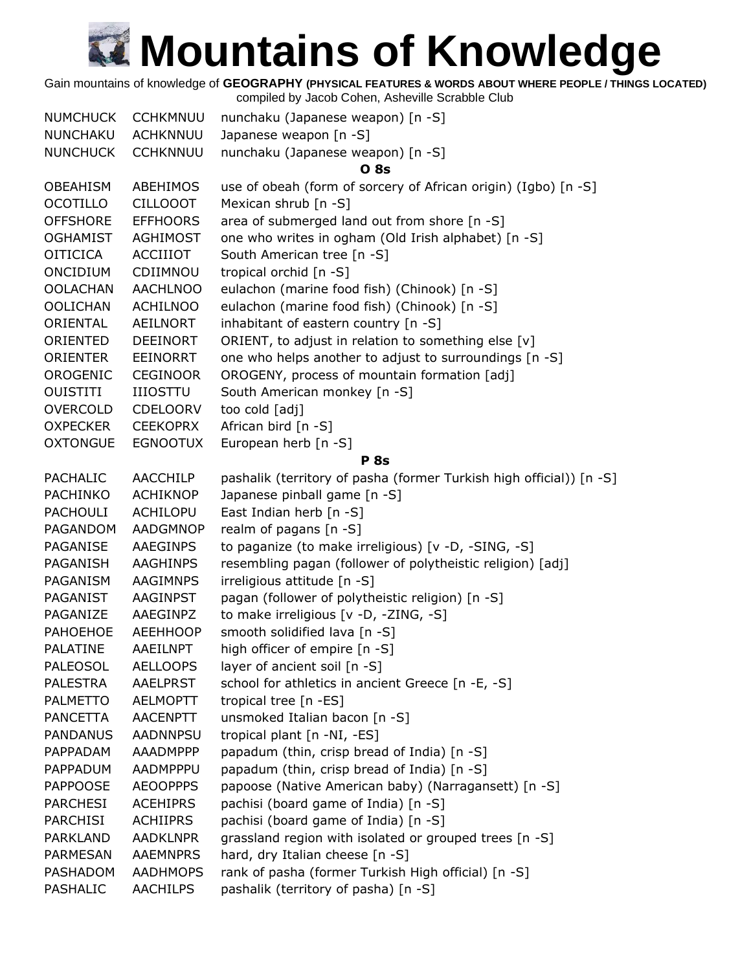Gain mountains of knowledge of **GEOGRAPHY (PHYSICAL FEATURES & WORDS ABOUT WHERE PEOPLE / THINGS LOCATED)**

| <b>NUMCHUCK</b> | <b>CCHKMNUU</b> | nunchaku (Japanese weapon) [n -S]                                   |
|-----------------|-----------------|---------------------------------------------------------------------|
| NUNCHAKU        | <b>ACHKNNUU</b> | Japanese weapon [n -S]                                              |
| <b>NUNCHUCK</b> | <b>CCHKNNUU</b> | nunchaku (Japanese weapon) [n -S]                                   |
|                 |                 | <b>O</b> 8s                                                         |
| <b>OBEAHISM</b> | ABEHIMOS        | use of obeah (form of sorcery of African origin) (Igbo) [n -S]      |
| <b>OCOTILLO</b> | <b>CILLOOOT</b> | Mexican shrub [n -S]                                                |
| <b>OFFSHORE</b> | <b>EFFHOORS</b> | area of submerged land out from shore [n -S]                        |
| <b>OGHAMIST</b> | AGHIMOST        | one who writes in ogham (Old Irish alphabet) [n -S]                 |
| <b>OITICICA</b> | <b>ACCIIIOT</b> | South American tree [n -S]                                          |
| ONCIDIUM        | CDIIMNOU        | tropical orchid [n -S]                                              |
| <b>OOLACHAN</b> | <b>AACHLNOO</b> | eulachon (marine food fish) (Chinook) [n -S]                        |
| <b>OOLICHAN</b> | <b>ACHILNOO</b> | eulachon (marine food fish) (Chinook) [n -S]                        |
| ORIENTAL        | <b>AEILNORT</b> | inhabitant of eastern country [n -S]                                |
| ORIENTED        | <b>DEEINORT</b> | ORIENT, to adjust in relation to something else [v]                 |
| <b>ORIENTER</b> | EEINORRT        | one who helps another to adjust to surroundings [n -S]              |
| OROGENIC        | <b>CEGINOOR</b> | OROGENY, process of mountain formation [adj]                        |
| <b>OUISTITI</b> | <b>IIIOSTTU</b> | South American monkey [n -S]                                        |
| <b>OVERCOLD</b> | <b>CDELOORV</b> | too cold [adj]                                                      |
| <b>OXPECKER</b> | <b>CEEKOPRX</b> | African bird [n -S]                                                 |
| <b>OXTONGUE</b> | <b>EGNOOTUX</b> | European herb [n -S]                                                |
|                 |                 | <b>P</b> 8s                                                         |
| <b>PACHALIC</b> | AACCHILP        | pashalik (territory of pasha (former Turkish high official)) [n -S] |
| <b>PACHINKO</b> | <b>ACHIKNOP</b> | Japanese pinball game [n -S]                                        |
| <b>PACHOULI</b> | ACHILOPU        | East Indian herb [n -S]                                             |
| PAGANDOM        | <b>AADGMNOP</b> | realm of pagans [n -S]                                              |
| PAGANISE        | AAEGINPS        | to paganize (to make irreligious) [v -D, -SING, -S]                 |
| PAGANISH        | <b>AAGHINPS</b> | resembling pagan (follower of polytheistic religion) [adj]          |
| PAGANISM        | <b>AAGIMNPS</b> | irreligious attitude [n -S]                                         |
| PAGANIST        | <b>AAGINPST</b> | pagan (follower of polytheistic religion) [n -S]                    |
| PAGANIZE        | AAEGINPZ        | to make irreligious [v -D, -ZING, -S]                               |
| <b>PAHOEHOE</b> | <b>AEEHHOOP</b> | smooth solidified lava [n -S]                                       |
| PALATINE        | AAEILNPT        | high officer of empire [n -S]                                       |
| PALEOSOL        | <b>AELLOOPS</b> | layer of ancient soil [n -S]                                        |
| <b>PALESTRA</b> | <b>AAELPRST</b> | school for athletics in ancient Greece [n -E, -S]                   |
| <b>PALMETTO</b> | <b>AELMOPTT</b> | tropical tree [n -ES]                                               |
| <b>PANCETTA</b> | <b>AACENPTT</b> | unsmoked Italian bacon [n -S]                                       |
| <b>PANDANUS</b> | <b>AADNNPSU</b> | tropical plant [n -NI, -ES]                                         |
| PAPPADAM        | AAADMPPP        | papadum (thin, crisp bread of India) [n -S]                         |
| PAPPADUM        | AADMPPPU        | papadum (thin, crisp bread of India) [n -S]                         |
| <b>PAPPOOSE</b> | <b>AEOOPPPS</b> | papoose (Native American baby) (Narragansett) [n -S]                |
| <b>PARCHESI</b> | <b>ACEHIPRS</b> | pachisi (board game of India) [n -S]                                |
| PARCHISI        | <b>ACHIIPRS</b> | pachisi (board game of India) [n -S]                                |
| PARKLAND        | <b>AADKLNPR</b> | grassland region with isolated or grouped trees [n -S]              |
| PARMESAN        | <b>AAEMNPRS</b> | hard, dry Italian cheese [n -S]                                     |
| PASHADOM        | <b>AADHMOPS</b> | rank of pasha (former Turkish High official) [n -S]                 |
| PASHALIC        | <b>AACHILPS</b> | pashalik (territory of pasha) [n -S]                                |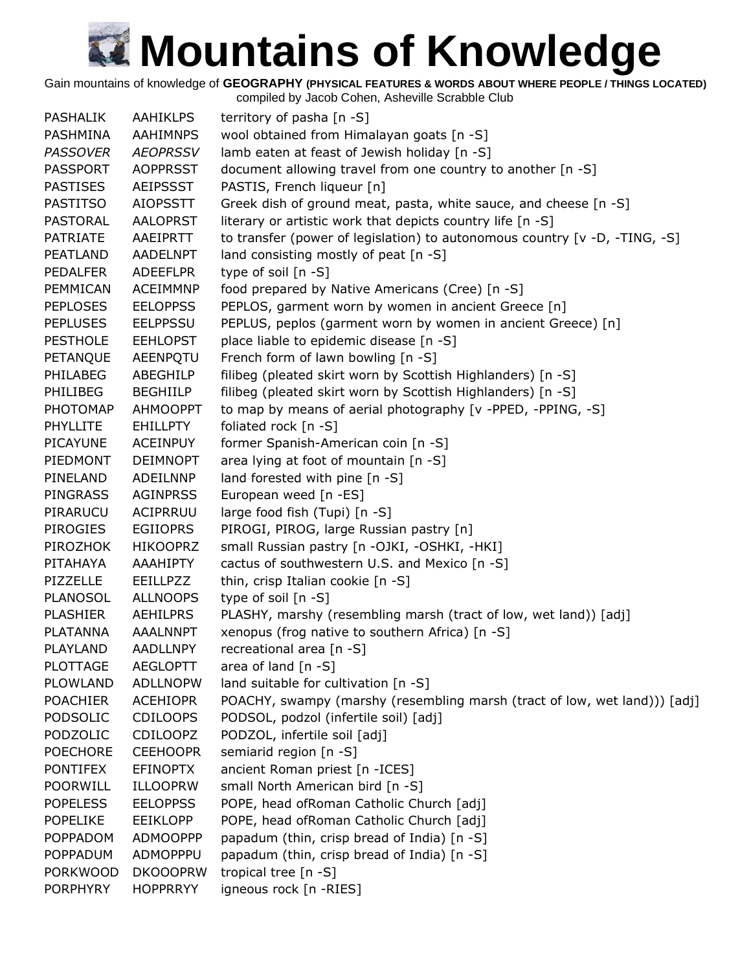Gain mountains of knowledge of **GEOGRAPHY (PHYSICAL FEATURES & WORDS ABOUT WHERE PEOPLE / THINGS LOCATED)**

| <b>PASHALIK</b> | <b>AAHIKLPS</b> | territory of pasha [n -S]                                                  |
|-----------------|-----------------|----------------------------------------------------------------------------|
| PASHMINA        | AAHIMNPS        | wool obtained from Himalayan goats [n -S]                                  |
| <b>PASSOVER</b> | <b>AEOPRSSV</b> | lamb eaten at feast of Jewish holiday [n -S]                               |
| <b>PASSPORT</b> | <b>AOPPRSST</b> | document allowing travel from one country to another [n -S]                |
| <b>PASTISES</b> | <b>AEIPSSST</b> | PASTIS, French liqueur [n]                                                 |
| <b>PASTITSO</b> | <b>AIOPSSTT</b> | Greek dish of ground meat, pasta, white sauce, and cheese [n -S]           |
| <b>PASTORAL</b> | <b>AALOPRST</b> | literary or artistic work that depicts country life [n -S]                 |
| <b>PATRIATE</b> | AAEIPRTT        | to transfer (power of legislation) to autonomous country [v -D, -TING, -S] |
| PEATLAND        | <b>AADELNPT</b> | land consisting mostly of peat [n -S]                                      |
| <b>PEDALFER</b> | <b>ADEEFLPR</b> | type of soil $[n - S]$                                                     |
| PEMMICAN        | <b>ACEIMMNP</b> | food prepared by Native Americans (Cree) [n -S]                            |
| <b>PEPLOSES</b> | <b>EELOPPSS</b> | PEPLOS, garment worn by women in ancient Greece [n]                        |
| <b>PEPLUSES</b> | <b>EELPPSSU</b> | PEPLUS, peplos (garment worn by women in ancient Greece) [n]               |
| <b>PESTHOLE</b> | <b>EEHLOPST</b> | place liable to epidemic disease [n -S]                                    |
| PETANQUE        | AEENPQTU        | French form of lawn bowling [n -S]                                         |
| PHILABEG        | ABEGHILP        | filibeg (pleated skirt worn by Scottish Highlanders) [n -S]                |
| PHILIBEG        | <b>BEGHIILP</b> | filibeg (pleated skirt worn by Scottish Highlanders) [n -S]                |
| <b>PHOTOMAP</b> | <b>AHMOOPPT</b> | to map by means of aerial photography [v -PPED, -PPING, -S]                |
| PHYLLITE        | <b>EHILLPTY</b> | foliated rock $[n -S]$                                                     |
| PICAYUNE        | <b>ACEINPUY</b> | former Spanish-American coin [n -S]                                        |
| PIEDMONT        | <b>DEIMNOPT</b> | area lying at foot of mountain [n -S]                                      |
| PINELAND        | ADEILNNP        | land forested with pine [n -S]                                             |
| <b>PINGRASS</b> | <b>AGINPRSS</b> | European weed [n -ES]                                                      |
| PIRARUCU        | ACIPRRUU        | large food fish (Tupi) [n -S]                                              |
| <b>PIROGIES</b> | <b>EGIIOPRS</b> | PIROGI, PIROG, large Russian pastry [n]                                    |
| PIROZHOK        | <b>HIKOOPRZ</b> | small Russian pastry [n -OJKI, -OSHKI, -HKI]                               |
| PITAHAYA        | AAAHIPTY        | cactus of southwestern U.S. and Mexico [n -S]                              |
| PIZZELLE        | <b>EEILLPZZ</b> | thin, crisp Italian cookie [n -S]                                          |
| <b>PLANOSOL</b> | <b>ALLNOOPS</b> | type of soil $[n - S]$                                                     |
| <b>PLASHIER</b> | AEHILPRS        | PLASHY, marshy (resembling marsh (tract of low, wet land)) [adj]           |
| <b>PLATANNA</b> | <b>AAALNNPT</b> | xenopus (frog native to southern Africa) [n -S]                            |
| PLAYLAND        | <b>AADLLNPY</b> | recreational area [n -S]                                                   |
| <b>PLOTTAGE</b> | <b>AEGLOPTT</b> | area of land $[n - S]$                                                     |
| PLOWLAND        | <b>ADLLNOPW</b> | land suitable for cultivation [n -S]                                       |
| <b>POACHIER</b> | <b>ACEHIOPR</b> | POACHY, swampy (marshy (resembling marsh (tract of low, wet land))) [adj]  |
| PODSOLIC        | <b>CDILOOPS</b> | PODSOL, podzol (infertile soil) [adj]                                      |
| PODZOLIC        | <b>CDILOOPZ</b> | PODZOL, infertile soil [adj]                                               |
| <b>POECHORE</b> | <b>CEEHOOPR</b> | semiarid region [n -S]                                                     |
| <b>PONTIFEX</b> | <b>EFINOPTX</b> | ancient Roman priest [n -ICES]                                             |
| <b>POORWILL</b> | <b>ILLOOPRW</b> | small North American bird [n -S]                                           |
|                 |                 | POPE, head ofRoman Catholic Church [adj]                                   |
| <b>POPELESS</b> | <b>EELOPPSS</b> |                                                                            |
| <b>POPELIKE</b> | <b>EEIKLOPP</b> | POPE, head of Roman Catholic Church [adj]                                  |
| <b>POPPADOM</b> | <b>ADMOOPPP</b> | papadum (thin, crisp bread of India) [n -S]                                |
| <b>POPPADUM</b> | ADMOPPPU        | papadum (thin, crisp bread of India) [n -S]                                |
| <b>PORKWOOD</b> | <b>DKOOOPRW</b> | tropical tree [n -S]                                                       |
| <b>PORPHYRY</b> | <b>HOPPRRYY</b> | igneous rock [n -RIES]                                                     |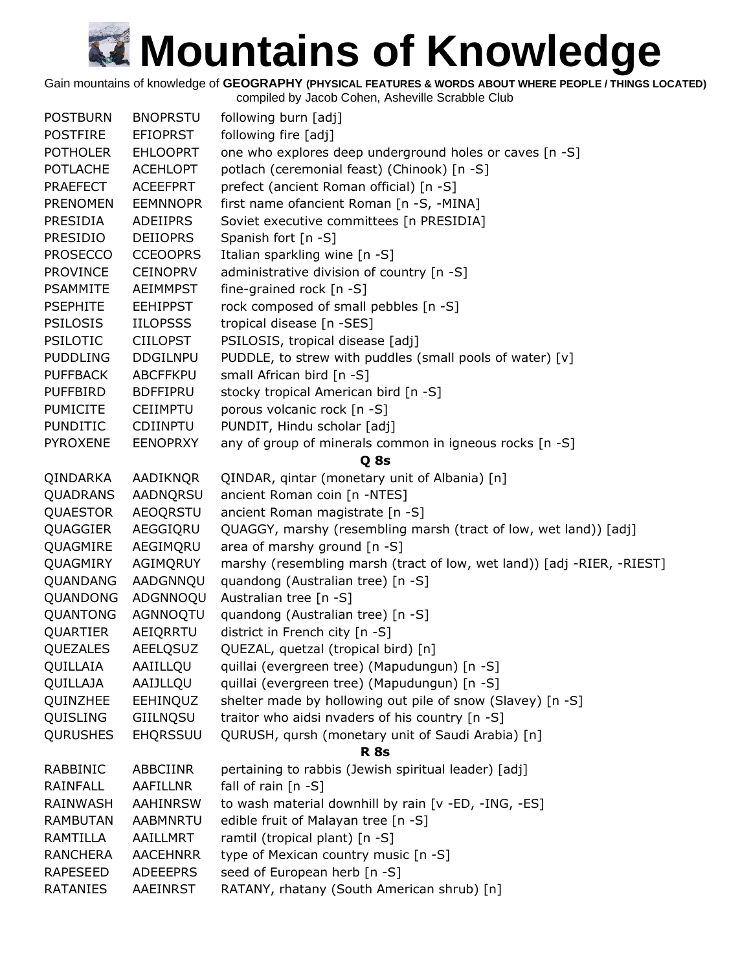Gain mountains of knowledge of **GEOGRAPHY (PHYSICAL FEATURES & WORDS ABOUT WHERE PEOPLE / THINGS LOCATED)**

| following burn [adj]<br><b>POSTBURN</b><br><b>BNOPRSTU</b>                                     |  |
|------------------------------------------------------------------------------------------------|--|
| following fire [adj]<br><b>POSTFIRE</b><br><b>EFIOPRST</b>                                     |  |
| one who explores deep underground holes or caves [n -S]<br><b>POTHOLER</b><br><b>EHLOOPRT</b>  |  |
| potlach (ceremonial feast) (Chinook) [n -S]<br><b>POTLACHE</b><br><b>ACEHLOPT</b>              |  |
| prefect (ancient Roman official) [n -S]<br><b>PRAEFECT</b><br><b>ACEEFPRT</b>                  |  |
| first name ofancient Roman [n -S, -MINA]<br><b>PRENOMEN</b><br><b>EEMNNOPR</b>                 |  |
| Soviet executive committees [n PRESIDIA]<br><b>PRESIDIA</b><br>ADEIIPRS                        |  |
| Spanish fort [n -S]<br><b>PRESIDIO</b><br><b>DEIIOPRS</b>                                      |  |
| <b>PROSECCO</b><br><b>CCEOOPRS</b><br>Italian sparkling wine [n -S]                            |  |
| administrative division of country [n -S]<br><b>PROVINCE</b><br><b>CEINOPRV</b>                |  |
| fine-grained rock [n -S]<br><b>PSAMMITE</b><br><b>AEIMMPST</b>                                 |  |
| rock composed of small pebbles [n -S]<br><b>PSEPHITE</b><br><b>EEHIPPST</b>                    |  |
| tropical disease [n -SES]<br><b>PSILOSIS</b><br><b>IILOPSSS</b>                                |  |
| PSILOSIS, tropical disease [adj]<br><b>PSILOTIC</b><br><b>CIILOPST</b>                         |  |
| PUDDLE, to strew with puddles (small pools of water) [v]<br><b>PUDDLING</b><br><b>DDGILNPU</b> |  |
| small African bird [n -S]<br><b>PUFFBACK</b><br><b>ABCFFKPU</b>                                |  |
| stocky tropical American bird [n -S]<br><b>PUFFBIRD</b><br><b>BDFFIPRU</b>                     |  |
| porous volcanic rock [n -S]<br><b>PUMICITE</b><br><b>CEIIMPTU</b>                              |  |
| PUNDIT, Hindu scholar [adj]<br><b>PUNDITIC</b><br>CDIINPTU                                     |  |
| any of group of minerals common in igneous rocks [n -S]<br><b>PYROXENE</b><br><b>EENOPRXY</b>  |  |
| Q <sub>8s</sub>                                                                                |  |
| QINDAR, qintar (monetary unit of Albania) [n]<br>QINDARKA<br>AADIKNQR                          |  |
| ancient Roman coin [n -NTES]<br>QUADRANS<br>AADNQRSU                                           |  |
| <b>AEOQRSTU</b><br>ancient Roman magistrate [n -S]<br><b>QUAESTOR</b>                          |  |
| QUAGGIER<br>AEGGIQRU<br>QUAGGY, marshy (resembling marsh (tract of low, wet land)) [adj]       |  |
| AEGIMQRU<br>area of marshy ground [n -S]<br>QUAGMIRE                                           |  |
| AGIMQRUY<br>marshy (resembling marsh (tract of low, wet land)) [adj -RIER, -RIEST]<br>QUAGMIRY |  |
| AADGNNQU<br>quandong (Australian tree) [n -S]<br>QUANDANG                                      |  |
| ADGNNOQU<br>Australian tree [n -S]<br>QUANDONG                                                 |  |
| QUANTONG<br>AGNNOQTU<br>quandong (Australian tree) [n -S]                                      |  |
| district in French city [n -S]<br>QUARTIER<br>AEIQRRTU                                         |  |
| QUEZAL, quetzal (tropical bird) [n]<br>QUEZALES<br>AEELQSUZ                                    |  |
| QUILLAIA<br>AAIILLQU<br>quillai (evergreen tree) (Mapudungun) [n -S]                           |  |
| QUILLAJA<br>AAIJLLQU<br>quillai (evergreen tree) (Mapudungun) [n -S]                           |  |
| shelter made by hollowing out pile of snow (Slavey) [n -S]<br>QUINZHEE<br>EEHINQUZ             |  |
| traitor who aidsi nvaders of his country [n -S]<br>QUISLING<br>GIILNQSU                        |  |
| <b>QURUSHES</b><br><b>EHQRSSUU</b><br>QURUSH, qursh (monetary unit of Saudi Arabia) [n]        |  |
| <b>R</b> 8s                                                                                    |  |
| RABBINIC<br>ABBCIINR<br>pertaining to rabbis (Jewish spiritual leader) [adj]                   |  |
| fall of rain [n -S]<br>RAINFALL<br>AAFILLNR                                                    |  |
| to wash material downhill by rain [v -ED, -ING, -ES]<br>RAINWASH<br>AAHINRSW                   |  |
| edible fruit of Malayan tree [n -S]<br><b>RAMBUTAN</b><br><b>AABMNRTU</b>                      |  |
| ramtil (tropical plant) [n -S]<br>RAMTILLA<br>AAILLMRT                                         |  |
| type of Mexican country music [n -S]<br><b>RANCHERA</b><br><b>AACEHNRR</b>                     |  |
| seed of European herb [n -S]<br><b>RAPESEED</b><br><b>ADEEEPRS</b>                             |  |
| RATANY, rhatany (South American shrub) [n]<br><b>RATANIES</b><br>AAEINRST                      |  |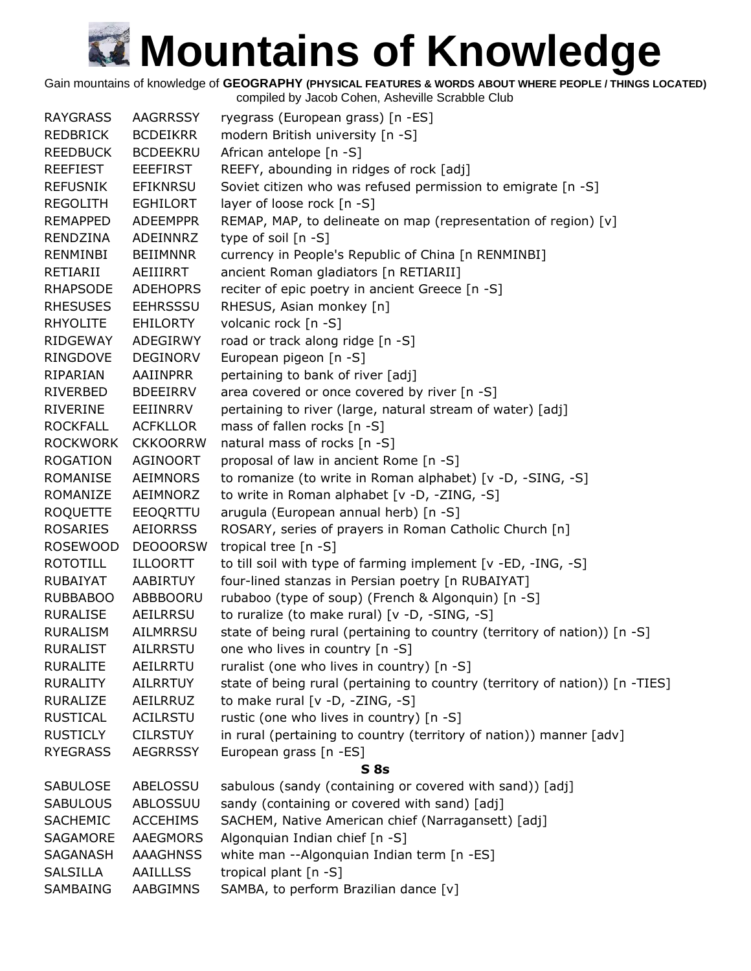Gain mountains of knowledge of **GEOGRAPHY (PHYSICAL FEATURES & WORDS ABOUT WHERE PEOPLE / THINGS LOCATED)**

| <b>RAYGRASS</b> | <b>AAGRRSSY</b> | ryegrass (European grass) [n -ES]                                            |
|-----------------|-----------------|------------------------------------------------------------------------------|
| REDBRICK        | <b>BCDEIKRR</b> | modern British university [n -S]                                             |
| <b>REEDBUCK</b> | <b>BCDEEKRU</b> | African antelope [n -S]                                                      |
| <b>REEFIEST</b> | EEEFIRST        | REEFY, abounding in ridges of rock [adj]                                     |
| <b>REFUSNIK</b> | EFIKNRSU        | Soviet citizen who was refused permission to emigrate [n -S]                 |
| <b>REGOLITH</b> | EGHILORT        | layer of loose rock [n -S]                                                   |
| <b>REMAPPED</b> | <b>ADEEMPPR</b> | REMAP, MAP, to delineate on map (representation of region) [v]               |
| RENDZINA        | ADEINNRZ        | type of soil $[n -S]$                                                        |
| RENMINBI        | <b>BEIIMNNR</b> | currency in People's Republic of China [n RENMINBI]                          |
| RETIARII        | AEIIIRRT        | ancient Roman gladiators [n RETIARII]                                        |
| <b>RHAPSODE</b> | <b>ADEHOPRS</b> | reciter of epic poetry in ancient Greece [n -S]                              |
| <b>RHESUSES</b> | <b>EEHRSSSU</b> | RHESUS, Asian monkey [n]                                                     |
| <b>RHYOLITE</b> | EHILORTY        | volcanic rock [n -S]                                                         |
| RIDGEWAY        | ADEGIRWY        | road or track along ridge [n -S]                                             |
| RINGDOVE        | <b>DEGINORV</b> | European pigeon [n -S]                                                       |
| RIPARIAN        | AAIINPRR        | pertaining to bank of river [adj]                                            |
| RIVERBED        | <b>BDEEIRRV</b> | area covered or once covered by river [n -S]                                 |
| RIVERINE        | EEIINRRV        | pertaining to river (large, natural stream of water) [adj]                   |
| <b>ROCKFALL</b> | <b>ACFKLLOR</b> | mass of fallen rocks [n -S]                                                  |
| <b>ROCKWORK</b> | <b>CKKOORRW</b> | natural mass of rocks [n -S]                                                 |
| <b>ROGATION</b> | <b>AGINOORT</b> |                                                                              |
|                 |                 | proposal of law in ancient Rome [n -S]                                       |
| ROMANISE        | <b>AEIMNORS</b> | to romanize (to write in Roman alphabet) [v -D, -SING, -S]                   |
| ROMANIZE        | AEIMNORZ        | to write in Roman alphabet [v -D, -ZING, -S]                                 |
| <b>ROQUETTE</b> | EEOQRTTU        | arugula (European annual herb) [n -S]                                        |
| <b>ROSARIES</b> | <b>AEIORRSS</b> | ROSARY, series of prayers in Roman Catholic Church [n]                       |
| <b>ROSEWOOD</b> | <b>DEOOORSW</b> | tropical tree [n -S]                                                         |
| <b>ROTOTILL</b> | ILLOORTT        | to till soil with type of farming implement [v -ED, -ING, -S]                |
| <b>RUBAIYAT</b> | AABIRTUY        | four-lined stanzas in Persian poetry [n RUBAIYAT]                            |
| <b>RUBBABOO</b> | ABBBOORU        | rubaboo (type of soup) (French & Algonquin) [n -S]                           |
| <b>RURALISE</b> | AEILRRSU        | to ruralize (to make rural) [v -D, -SING, -S]                                |
| <b>RURALISM</b> | AILMRRSU        | state of being rural (pertaining to country (territory of nation)) [n -S]    |
| <b>RURALIST</b> | <b>AILRRSTU</b> | one who lives in country [n -S]                                              |
| <b>RURALITE</b> | <b>AEILRRTU</b> | ruralist (one who lives in country) [n -S]                                   |
| <b>RURALITY</b> | <b>AILRRTUY</b> | state of being rural (pertaining to country (territory of nation)) [n -TIES] |
| <b>RURALIZE</b> | AEILRRUZ        | to make rural [v -D, -ZING, -S]                                              |
| <b>RUSTICAL</b> | <b>ACILRSTU</b> | rustic (one who lives in country) [n -S]                                     |
| <b>RUSTICLY</b> | <b>CILRSTUY</b> | in rural (pertaining to country (territory of nation)) manner [adv]          |
| <b>RYEGRASS</b> | <b>AEGRRSSY</b> | European grass [n -ES]                                                       |
|                 |                 | S 8s                                                                         |
| <b>SABULOSE</b> | ABELOSSU        | sabulous (sandy (containing or covered with sand)) [adj]                     |
| <b>SABULOUS</b> | ABLOSSUU        | sandy (containing or covered with sand) [adj]                                |
| <b>SACHEMIC</b> | <b>ACCEHIMS</b> | SACHEM, Native American chief (Narragansett) [adj]                           |
| SAGAMORE        | AAEGMORS        | Algonquian Indian chief [n -S]                                               |
| SAGANASH        | <b>AAAGHNSS</b> | white man --Algonquian Indian term [n -ES]                                   |
| <b>SALSILLA</b> | <b>AAILLLSS</b> | tropical plant $[n -S]$                                                      |
| SAMBAING        | AABGIMNS        | SAMBA, to perform Brazilian dance [v]                                        |
|                 |                 |                                                                              |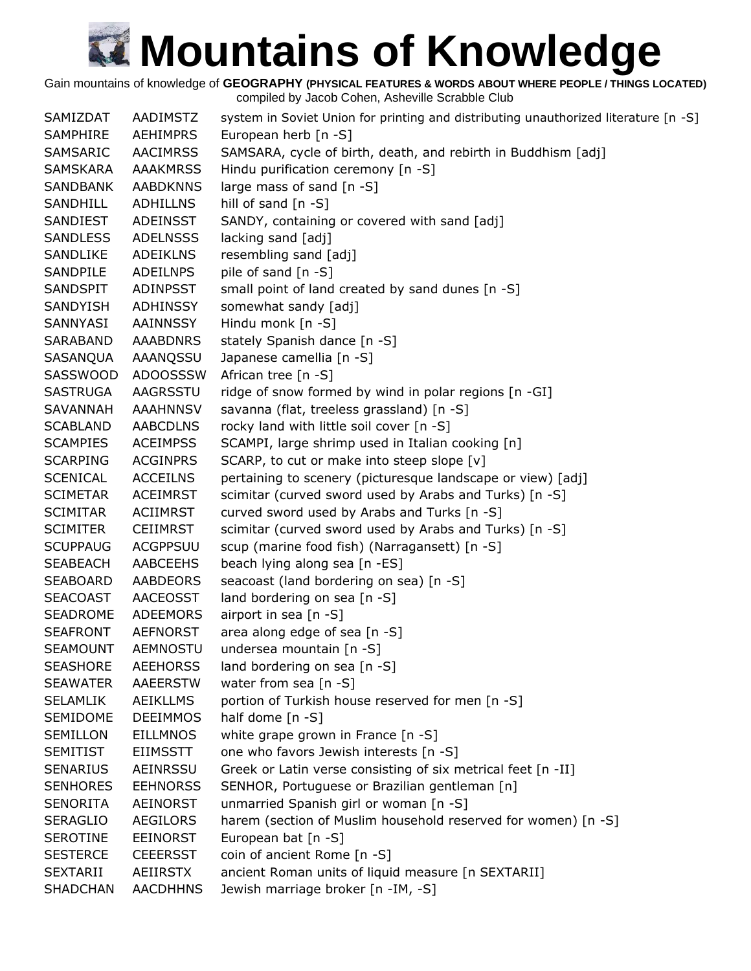Gain mountains of knowledge of **GEOGRAPHY (PHYSICAL FEATURES & WORDS ABOUT WHERE PEOPLE / THINGS LOCATED)**

| SAMIZDAT        | AADIMSTZ        | system in Soviet Union for printing and distributing unauthorized literature [n -S] |
|-----------------|-----------------|-------------------------------------------------------------------------------------|
| SAMPHIRE        | <b>AEHIMPRS</b> | European herb [n -S]                                                                |
| SAMSARIC        | <b>AACIMRSS</b> | SAMSARA, cycle of birth, death, and rebirth in Buddhism [adj]                       |
| SAMSKARA        | <b>AAAKMRSS</b> | Hindu purification ceremony [n -S]                                                  |
| SANDBANK        | <b>AABDKNNS</b> | large mass of sand [n -S]                                                           |
| SANDHILL        | <b>ADHILLNS</b> | hill of sand $[n -S]$                                                               |
| SANDIEST        | <b>ADEINSST</b> | SANDY, containing or covered with sand [adj]                                        |
| <b>SANDLESS</b> | <b>ADELNSSS</b> | lacking sand [adj]                                                                  |
| SANDLIKE        | <b>ADEIKLNS</b> | resembling sand [adj]                                                               |
| SANDPILE        | <b>ADEILNPS</b> | pile of sand [n -S]                                                                 |
| SANDSPIT        | <b>ADINPSST</b> | small point of land created by sand dunes [n -S]                                    |
| SANDYISH        | ADHINSSY        | somewhat sandy [adj]                                                                |
| SANNYASI        | AAINNSSY        | Hindu monk $[n -S]$                                                                 |
| SARABAND        | <b>AAABDNRS</b> | stately Spanish dance [n -S]                                                        |
| SASANQUA        | AAANQSSU        | Japanese camellia [n -S]                                                            |
| SASSWOOD        | <b>ADOOSSSW</b> | African tree [n -S]                                                                 |
| <b>SASTRUGA</b> | AAGRSSTU        | ridge of snow formed by wind in polar regions [n -GI]                               |
| SAVANNAH        | <b>AAAHNNSV</b> | savanna (flat, treeless grassland) [n -S]                                           |
| <b>SCABLAND</b> | AABCDLNS        | rocky land with little soil cover [n -S]                                            |
| <b>SCAMPIES</b> | <b>ACEIMPSS</b> | SCAMPI, large shrimp used in Italian cooking [n]                                    |
| <b>SCARPING</b> | <b>ACGINPRS</b> | SCARP, to cut or make into steep slope [v]                                          |
| <b>SCENICAL</b> | <b>ACCEILNS</b> | pertaining to scenery (picturesque landscape or view) [adj]                         |
| <b>SCIMETAR</b> | <b>ACEIMRST</b> | scimitar (curved sword used by Arabs and Turks) [n -S]                              |
| <b>SCIMITAR</b> | <b>ACIIMRST</b> | curved sword used by Arabs and Turks [n -S]                                         |
| <b>SCIMITER</b> | <b>CEIIMRST</b> | scimitar (curved sword used by Arabs and Turks) [n -S]                              |
| <b>SCUPPAUG</b> | <b>ACGPPSUU</b> | scup (marine food fish) (Narragansett) [n -S]                                       |
| <b>SEABEACH</b> | AABCEEHS        | beach lying along sea [n -ES]                                                       |
| <b>SEABOARD</b> | AABDEORS        | seacoast (land bordering on sea) [n -S]                                             |
| <b>SEACOAST</b> | <b>AACEOSST</b> | land bordering on sea [n -S]                                                        |
| SEADROME        | ADEEMORS        | airport in sea $[n - S]$                                                            |
| <b>SEAFRONT</b> | AEFNORST        | area along edge of sea [n -S]                                                       |
| <b>SEAMOUNT</b> | <b>AEMNOSTU</b> | undersea mountain [n -S]                                                            |
| <b>SEASHORE</b> | <b>AEEHORSS</b> | land bordering on sea [n -S]                                                        |
| <b>SEAWATER</b> | <b>AAEERSTW</b> | water from sea [n -S]                                                               |
| <b>SELAMLIK</b> | <b>AEIKLLMS</b> | portion of Turkish house reserved for men [n -S]                                    |
| SEMIDOME        | <b>DEEIMMOS</b> | half dome $[n -S]$                                                                  |
| <b>SEMILLON</b> | <b>EILLMNOS</b> | white grape grown in France [n -S]                                                  |
| <b>SEMITIST</b> | <b>EIIMSSTT</b> | one who favors Jewish interests [n -S]                                              |
| <b>SENARIUS</b> | AEINRSSU        | Greek or Latin verse consisting of six metrical feet [n -II]                        |
| <b>SENHORES</b> | <b>EEHNORSS</b> | SENHOR, Portuguese or Brazilian gentleman [n]                                       |
| <b>SENORITA</b> | AEINORST        | unmarried Spanish girl or woman [n -S]                                              |
| <b>SERAGLIO</b> | AEGILORS        | harem (section of Muslim household reserved for women) [n -S]                       |
| <b>SEROTINE</b> | <b>EEINORST</b> | European bat [n -S]                                                                 |
| <b>SESTERCE</b> | <b>CEEERSST</b> | coin of ancient Rome [n -S]                                                         |
| <b>SEXTARII</b> | AEIIRSTX        | ancient Roman units of liquid measure [n SEXTARII]                                  |
| <b>SHADCHAN</b> | <b>AACDHHNS</b> | Jewish marriage broker [n -IM, -S]                                                  |
|                 |                 |                                                                                     |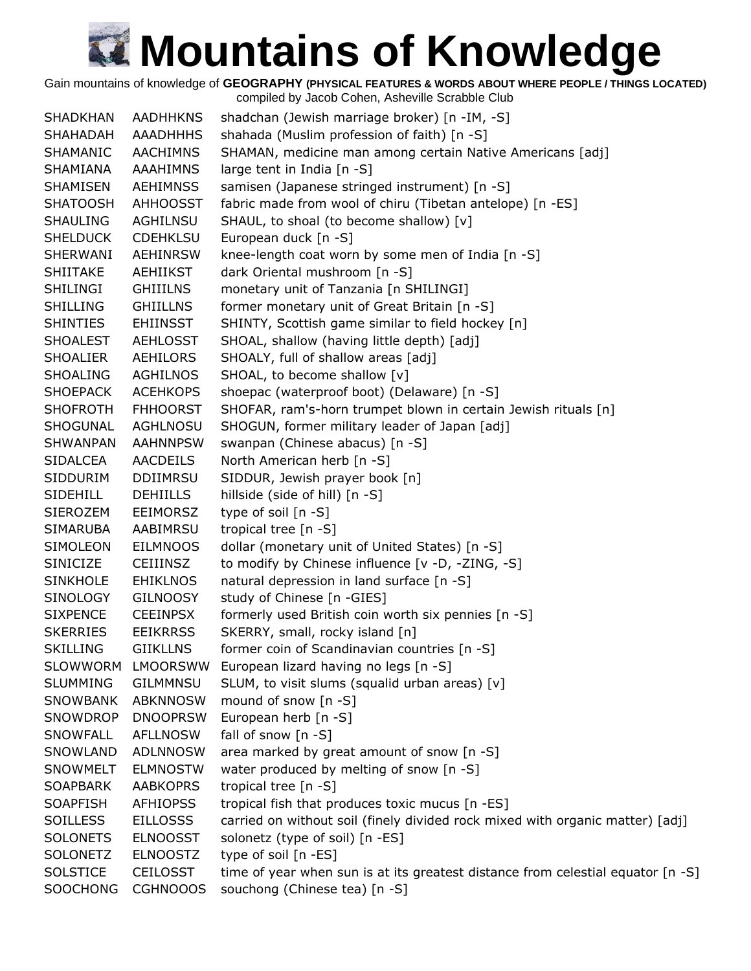Gain mountains of knowledge of **GEOGRAPHY (PHYSICAL FEATURES & WORDS ABOUT WHERE PEOPLE / THINGS LOCATED)**

| <b>SHADKHAN</b> | <b>AADHHKNS</b> | shadchan (Jewish marriage broker) [n -IM, -S]                                   |
|-----------------|-----------------|---------------------------------------------------------------------------------|
| SHAHADAH        | <b>AAADHHHS</b> | shahada (Muslim profession of faith) [n -S]                                     |
| SHAMANIC        | <b>AACHIMNS</b> | SHAMAN, medicine man among certain Native Americans [adj]                       |
| SHAMIANA        | AAAHIMNS        | large tent in India [n -S]                                                      |
| SHAMISEN        | AEHIMNSS        | samisen (Japanese stringed instrument) [n -S]                                   |
| <b>SHATOOSH</b> | <b>AHHOOSST</b> | fabric made from wool of chiru (Tibetan antelope) [n -ES]                       |
| <b>SHAULING</b> | AGHILNSU        | SHAUL, to shoal (to become shallow) [v]                                         |
| <b>SHELDUCK</b> | <b>CDEHKLSU</b> | European duck [n -S]                                                            |
| SHERWANI        | <b>AEHINRSW</b> | knee-length coat worn by some men of India [n -S]                               |
| <b>SHIITAKE</b> | <b>AEHIIKST</b> | dark Oriental mushroom [n -S]                                                   |
| SHILINGI        | <b>GHIIILNS</b> | monetary unit of Tanzania [n SHILINGI]                                          |
| <b>SHILLING</b> | <b>GHIILLNS</b> | former monetary unit of Great Britain [n -S]                                    |
| <b>SHINTIES</b> | <b>EHIINSST</b> | SHINTY, Scottish game similar to field hockey [n]                               |
| <b>SHOALEST</b> | AEHLOSST        | SHOAL, shallow (having little depth) [adj]                                      |
| <b>SHOALIER</b> | AEHILORS        | SHOALY, full of shallow areas [adj]                                             |
| <b>SHOALING</b> | <b>AGHILNOS</b> | SHOAL, to become shallow [v]                                                    |
| <b>SHOEPACK</b> | <b>ACEHKOPS</b> | shoepac (waterproof boot) (Delaware) [n -S]                                     |
| <b>SHOFROTH</b> | <b>FHHOORST</b> | SHOFAR, ram's-horn trumpet blown in certain Jewish rituals [n]                  |
| SHOGUNAL        | AGHLNOSU        | SHOGUN, former military leader of Japan [adj]                                   |
| <b>SHWANPAN</b> | <b>AAHNNPSW</b> | swanpan (Chinese abacus) [n -S]                                                 |
| <b>SIDALCEA</b> | <b>AACDEILS</b> | North American herb [n -S]                                                      |
| SIDDURIM        | <b>DDIIMRSU</b> | SIDDUR, Jewish prayer book [n]                                                  |
| <b>SIDEHILL</b> | <b>DEHIILLS</b> | hillside (side of hill) [n -S]                                                  |
| <b>SIEROZEM</b> | <b>EEIMORSZ</b> | type of soil $[n -S]$                                                           |
| <b>SIMARUBA</b> | AABIMRSU        | tropical tree [n -S]                                                            |
| SIMOLEON        | <b>EILMNOOS</b> | dollar (monetary unit of United States) [n -S]                                  |
| <b>SINICIZE</b> | <b>CEIIINSZ</b> | to modify by Chinese influence [v -D, -ZING, -S]                                |
| <b>SINKHOLE</b> | <b>EHIKLNOS</b> | natural depression in land surface [n -S]                                       |
| <b>SINOLOGY</b> | <b>GILNOOSY</b> | study of Chinese [n -GIES]                                                      |
| <b>SIXPENCE</b> | <b>CEEINPSX</b> | formerly used British coin worth six pennies [n -S]                             |
| <b>SKERRIES</b> | <b>EEIKRRSS</b> | SKERRY, small, rocky island [n]                                                 |
| <b>SKILLING</b> | <b>GIIKLLNS</b> | former coin of Scandinavian countries [n -S]                                    |
| <b>SLOWWORM</b> | <b>LMOORSWW</b> | European lizard having no legs [n -S]                                           |
| <b>SLUMMING</b> | <b>GILMMNSU</b> | SLUM, to visit slums (squalid urban areas) [v]                                  |
| <b>SNOWBANK</b> | <b>ABKNNOSW</b> | mound of snow [n -S]                                                            |
| SNOWDROP        | <b>DNOOPRSW</b> | European herb [n -S]                                                            |
| <b>SNOWFALL</b> | <b>AFLLNOSW</b> | fall of snow [n -S]                                                             |
| SNOWLAND        | <b>ADLNNOSW</b> | area marked by great amount of snow [n -S]                                      |
| SNOWMELT        | <b>ELMNOSTW</b> | water produced by melting of snow [n -S]                                        |
| <b>SOAPBARK</b> | <b>AABKOPRS</b> | tropical tree [n -S]                                                            |
| <b>SOAPFISH</b> | <b>AFHIOPSS</b> | tropical fish that produces toxic mucus [n -ES]                                 |
| <b>SOILLESS</b> | <b>EILLOSSS</b> | carried on without soil (finely divided rock mixed with organic matter) [adj]   |
| <b>SOLONETS</b> | <b>ELNOOSST</b> | solonetz (type of soil) [n -ES]                                                 |
| <b>SOLONETZ</b> | <b>ELNOOSTZ</b> | type of soil [n -ES]                                                            |
| <b>SOLSTICE</b> | <b>CEILOSST</b> | time of year when sun is at its greatest distance from celestial equator [n -S] |
| <b>SOOCHONG</b> | <b>CGHNOOOS</b> | souchong (Chinese tea) [n -S]                                                   |
|                 |                 |                                                                                 |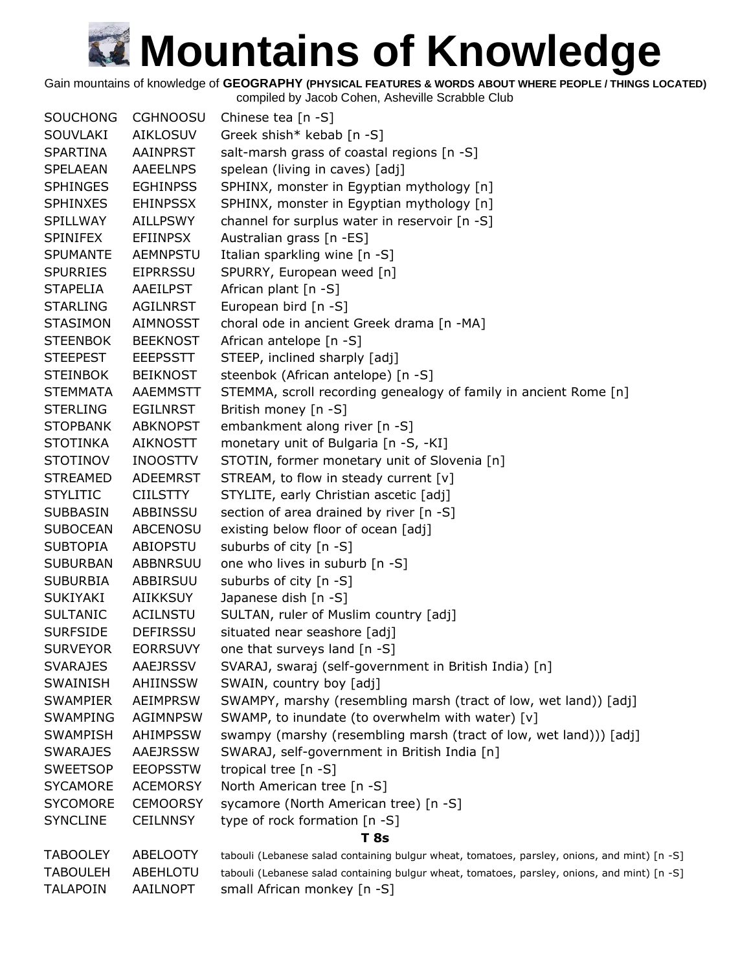Gain mountains of knowledge of **GEOGRAPHY (PHYSICAL FEATURES & WORDS ABOUT WHERE PEOPLE / THINGS LOCATED)**

| <b>SOUCHONG</b> | <b>CGHNOOSU</b> | Chinese tea [n -S]                                                                           |
|-----------------|-----------------|----------------------------------------------------------------------------------------------|
| SOUVLAKI        | <b>AIKLOSUV</b> | Greek shish* kebab [n -S]                                                                    |
| <b>SPARTINA</b> | AAINPRST        | salt-marsh grass of coastal regions [n -S]                                                   |
| SPELAEAN        | <b>AAEELNPS</b> | spelean (living in caves) [adj]                                                              |
| <b>SPHINGES</b> | <b>EGHINPSS</b> | SPHINX, monster in Egyptian mythology [n]                                                    |
| <b>SPHINXES</b> | <b>EHINPSSX</b> | SPHINX, monster in Egyptian mythology [n]                                                    |
| SPILLWAY        | <b>AILLPSWY</b> | channel for surplus water in reservoir [n -S]                                                |
| <b>SPINIFEX</b> | <b>EFIINPSX</b> | Australian grass [n -ES]                                                                     |
| <b>SPUMANTE</b> | <b>AEMNPSTU</b> | Italian sparkling wine [n -S]                                                                |
| <b>SPURRIES</b> | <b>EIPRRSSU</b> | SPURRY, European weed [n]                                                                    |
| <b>STAPELIA</b> | AAEILPST        | African plant [n -S]                                                                         |
| <b>STARLING</b> | <b>AGILNRST</b> | European bird [n -S]                                                                         |
| <b>STASIMON</b> | <b>AIMNOSST</b> | choral ode in ancient Greek drama [n -MA]                                                    |
| <b>STEENBOK</b> | <b>BEEKNOST</b> | African antelope [n -S]                                                                      |
| <b>STEEPEST</b> | <b>EEEPSSTT</b> | STEEP, inclined sharply [adj]                                                                |
| <b>STEINBOK</b> | <b>BEIKNOST</b> | steenbok (African antelope) [n -S]                                                           |
| <b>STEMMATA</b> | <b>AAEMMSTT</b> | STEMMA, scroll recording genealogy of family in ancient Rome [n]                             |
| <b>STERLING</b> | <b>EGILNRST</b> | British money [n -S]                                                                         |
| <b>STOPBANK</b> | <b>ABKNOPST</b> | embankment along river [n -S]                                                                |
| <b>STOTINKA</b> | <b>AIKNOSTT</b> | monetary unit of Bulgaria [n -S, -KI]                                                        |
| <b>STOTINOV</b> | <b>INOOSTTV</b> | STOTIN, former monetary unit of Slovenia [n]                                                 |
| <b>STREAMED</b> | <b>ADEEMRST</b> | STREAM, to flow in steady current [v]                                                        |
| <b>STYLITIC</b> | <b>CIILSTTY</b> | STYLITE, early Christian ascetic [adj]                                                       |
| <b>SUBBASIN</b> | ABBINSSU        | section of area drained by river [n -S]                                                      |
| <b>SUBOCEAN</b> | <b>ABCENOSU</b> | existing below floor of ocean [adj]                                                          |
| <b>SUBTOPIA</b> | ABIOPSTU        | suburbs of city [n -S]                                                                       |
| <b>SUBURBAN</b> | <b>ABBNRSUU</b> | one who lives in suburb [n -S]                                                               |
| <b>SUBURBIA</b> | ABBIRSUU        | suburbs of city [n -S]                                                                       |
| <b>SUKIYAKI</b> | <b>AIIKKSUY</b> | Japanese dish [n -S]                                                                         |
| <b>SULTANIC</b> | <b>ACILNSTU</b> | SULTAN, ruler of Muslim country [adj]                                                        |
| <b>SURFSIDE</b> | <b>DEFIRSSU</b> | situated near seashore [adj]                                                                 |
| <b>SURVEYOR</b> | <b>EORRSUVY</b> | one that surveys land [n -S]                                                                 |
| <b>SVARAJES</b> | <b>AAEJRSSV</b> | SVARAJ, swaraj (self-government in British India) [n]                                        |
| SWAINISH        | AHIINSSW        | SWAIN, country boy [adj]                                                                     |
| <b>SWAMPIER</b> | <b>AEIMPRSW</b> | SWAMPY, marshy (resembling marsh (tract of low, wet land)) [adj]                             |
| <b>SWAMPING</b> | <b>AGIMNPSW</b> | SWAMP, to inundate (to overwhelm with water) [v]                                             |
| <b>SWAMPISH</b> | AHIMPSSW        | swampy (marshy (resembling marsh (tract of low, wet land))) [adj]                            |
| <b>SWARAJES</b> | AAEJRSSW        | SWARAJ, self-government in British India [n]                                                 |
| <b>SWEETSOP</b> | <b>EEOPSSTW</b> | tropical tree [n -S]                                                                         |
| <b>SYCAMORE</b> | <b>ACEMORSY</b> | North American tree [n -S]                                                                   |
| <b>SYCOMORE</b> | <b>CEMOORSY</b> | sycamore (North American tree) [n -S]                                                        |
| <b>SYNCLINE</b> | <b>CEILNNSY</b> | type of rock formation [n -S]                                                                |
|                 |                 | <b>T</b> 8s                                                                                  |
| <b>TABOOLEY</b> | ABELOOTY        | tabouli (Lebanese salad containing bulgur wheat, tomatoes, parsley, onions, and mint) [n -S] |
| <b>TABOULEH</b> | ABEHLOTU        | tabouli (Lebanese salad containing bulgur wheat, tomatoes, parsley, onions, and mint) [n -S] |
| <b>TALAPOIN</b> | AAILNOPT        | small African monkey [n -S]                                                                  |
|                 |                 |                                                                                              |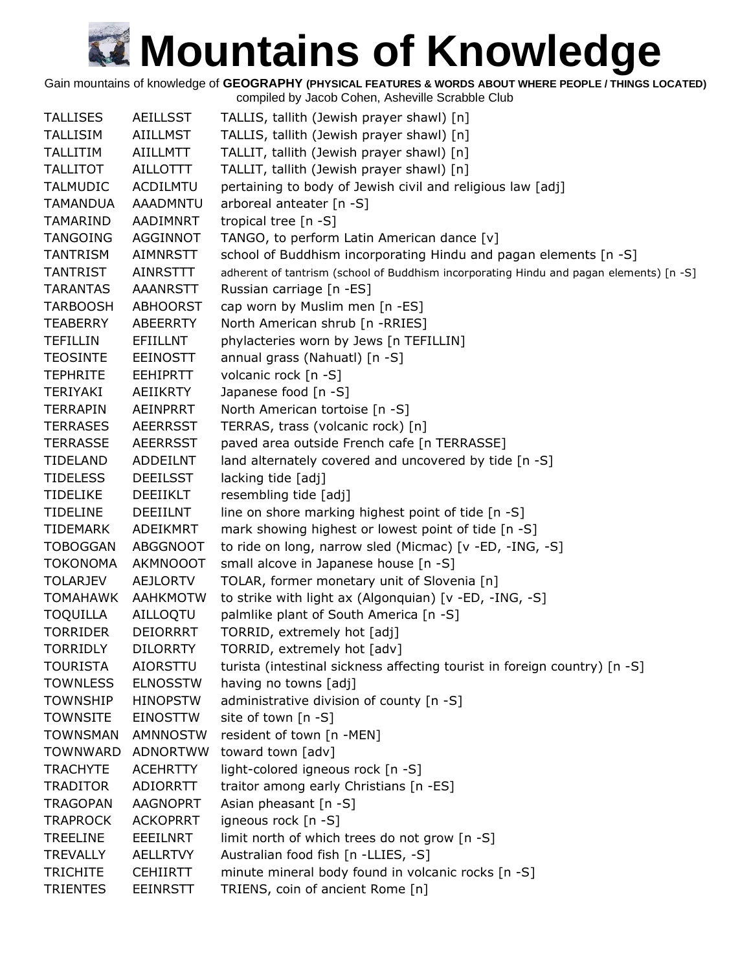Gain mountains of knowledge of **GEOGRAPHY (PHYSICAL FEATURES & WORDS ABOUT WHERE PEOPLE / THINGS LOCATED)**

| <b>TALLISES</b> | <b>AEILLSST</b> | TALLIS, tallith (Jewish prayer shawl) [n]                                               |
|-----------------|-----------------|-----------------------------------------------------------------------------------------|
| <b>TALLISIM</b> | <b>AIILLMST</b> | TALLIS, tallith (Jewish prayer shawl) [n]                                               |
| <b>TALLITIM</b> | <b>AIILLMTT</b> | TALLIT, tallith (Jewish prayer shawl) [n]                                               |
| <b>TALLITOT</b> | <b>AILLOTTT</b> | TALLIT, tallith (Jewish prayer shawl) [n]                                               |
| <b>TALMUDIC</b> | <b>ACDILMTU</b> | pertaining to body of Jewish civil and religious law [adj]                              |
| <b>TAMANDUA</b> | <b>AAADMNTU</b> | arboreal anteater [n -S]                                                                |
| TAMARIND        | AADIMNRT        | tropical tree [n -S]                                                                    |
| <b>TANGOING</b> | AGGINNOT        | TANGO, to perform Latin American dance [v]                                              |
| <b>TANTRISM</b> | AIMNRSTT        | school of Buddhism incorporating Hindu and pagan elements [n -S]                        |
| <b>TANTRIST</b> | <b>AINRSTTT</b> | adherent of tantrism (school of Buddhism incorporating Hindu and pagan elements) [n -S] |
| <b>TARANTAS</b> | AAANRSTT        | Russian carriage [n -ES]                                                                |
| <b>TARBOOSH</b> | <b>ABHOORST</b> | cap worn by Muslim men [n -ES]                                                          |
| <b>TEABERRY</b> | ABEERRTY        | North American shrub [n -RRIES]                                                         |
| <b>TEFILLIN</b> | EFIILLNT        | phylacteries worn by Jews [n TEFILLIN]                                                  |
| <b>TEOSINTE</b> | <b>EEINOSTT</b> | annual grass (Nahuatl) [n -S]                                                           |
| <b>TEPHRITE</b> | <b>EEHIPRTT</b> | volcanic rock [n -S]                                                                    |
| TERIYAKI        | <b>AEIIKRTY</b> | Japanese food [n -S]                                                                    |
| <b>TERRAPIN</b> | <b>AEINPRRT</b> | North American tortoise [n -S]                                                          |
| <b>TERRASES</b> | <b>AEERRSST</b> | TERRAS, trass (volcanic rock) [n]                                                       |
| <b>TERRASSE</b> | <b>AEERRSST</b> | paved area outside French cafe [n TERRASSE]                                             |
| <b>TIDELAND</b> | <b>ADDEILNT</b> | land alternately covered and uncovered by tide [n -S]                                   |
| <b>TIDELESS</b> | <b>DEEILSST</b> | lacking tide [adj]                                                                      |
| <b>TIDELIKE</b> | DEEIIKLT        | resembling tide [adj]                                                                   |
| <b>TIDELINE</b> | <b>DEEIILNT</b> | line on shore marking highest point of tide [n -S]                                      |
| TIDEMARK        | ADEIKMRT        | mark showing highest or lowest point of tide [n -S]                                     |
| <b>TOBOGGAN</b> | <b>ABGGNOOT</b> | to ride on long, narrow sled (Micmac) [v -ED, -ING, -S]                                 |
| <b>TOKONOMA</b> | <b>AKMNOOOT</b> | small alcove in Japanese house [n -S]                                                   |
| <b>TOLARJEV</b> | <b>AEJLORTV</b> | TOLAR, former monetary unit of Slovenia [n]                                             |
| <b>TOMAHAWK</b> | <b>AAHKMOTW</b> | to strike with light ax (Algonquian) [v -ED, -ING, -S]                                  |
| <b>TOQUILLA</b> | AILLOQTU        | palmlike plant of South America [n -S]                                                  |
| <b>TORRIDER</b> | <b>DEIORRRT</b> | TORRID, extremely hot [adj]                                                             |
| TORRIDLY        | <b>DILORRTY</b> | TORRID, extremely hot [adv]                                                             |
| <b>TOURISTA</b> | <b>AIORSTTU</b> | turista (intestinal sickness affecting tourist in foreign country) [n -S]               |
| <b>TOWNLESS</b> | <b>ELNOSSTW</b> | having no towns [adj]                                                                   |
| <b>TOWNSHIP</b> | <b>HINOPSTW</b> | administrative division of county [n -S]                                                |
| <b>TOWNSITE</b> | <b>EINOSTTW</b> | site of town [n -S]                                                                     |
| <b>TOWNSMAN</b> | <b>AMNNOSTW</b> | resident of town [n -MEN]                                                               |
| <b>TOWNWARD</b> | <b>ADNORTWW</b> | toward town [adv]                                                                       |
| <b>TRACHYTE</b> | <b>ACEHRTTY</b> | light-colored igneous rock [n -S]                                                       |
| <b>TRADITOR</b> | ADIORRTT        | traitor among early Christians [n -ES]                                                  |
| <b>TRAGOPAN</b> | <b>AAGNOPRT</b> | Asian pheasant [n -S]                                                                   |
| <b>TRAPROCK</b> | <b>ACKOPRRT</b> | igneous rock [n -S]                                                                     |
| <b>TREELINE</b> | EEEILNRT        | limit north of which trees do not grow [n -S]                                           |
| <b>TREVALLY</b> | <b>AELLRTVY</b> | Australian food fish [n - LLIES, -S]                                                    |
| <b>TRICHITE</b> | <b>CEHIIRTT</b> | minute mineral body found in volcanic rocks [n -S]                                      |
| <b>TRIENTES</b> | <b>EEINRSTT</b> | TRIENS, coin of ancient Rome [n]                                                        |
|                 |                 |                                                                                         |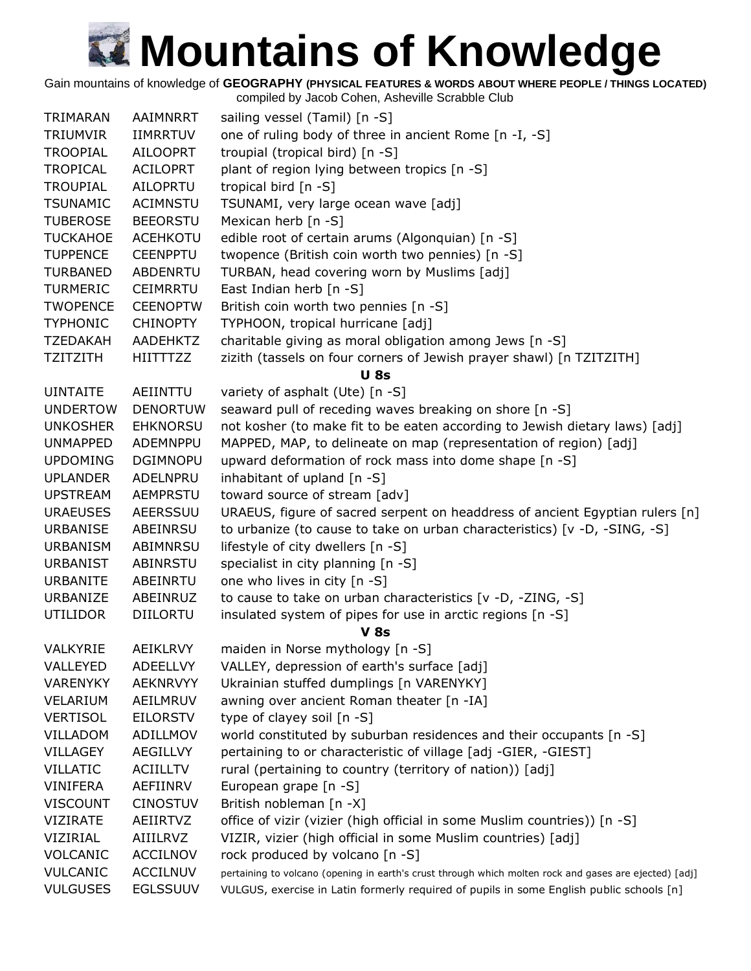Gain mountains of knowledge of **GEOGRAPHY (PHYSICAL FEATURES & WORDS ABOUT WHERE PEOPLE / THINGS LOCATED)**

| TRIMARAN        | AAIMNRRT        | sailing vessel (Tamil) [n -S]                                                                          |
|-----------------|-----------------|--------------------------------------------------------------------------------------------------------|
| <b>TRIUMVIR</b> | <b>IIMRRTUV</b> | one of ruling body of three in ancient Rome [n -I, -S]                                                 |
| <b>TROOPIAL</b> | <b>AILOOPRT</b> | troupial (tropical bird) [n -S]                                                                        |
| <b>TROPICAL</b> | <b>ACILOPRT</b> | plant of region lying between tropics [n -S]                                                           |
| <b>TROUPIAL</b> | AILOPRTU        | tropical bird [n -S]                                                                                   |
| <b>TSUNAMIC</b> | <b>ACIMNSTU</b> | TSUNAMI, very large ocean wave [adj]                                                                   |
| <b>TUBEROSE</b> | <b>BEEORSTU</b> | Mexican herb $[n - S]$                                                                                 |
| <b>TUCKAHOE</b> | <b>ACEHKOTU</b> | edible root of certain arums (Algonquian) [n -S]                                                       |
| <b>TUPPENCE</b> | <b>CEENPPTU</b> | twopence (British coin worth two pennies) [n -S]                                                       |
| <b>TURBANED</b> | <b>ABDENRTU</b> | TURBAN, head covering worn by Muslims [adj]                                                            |
| <b>TURMERIC</b> | <b>CEIMRRTU</b> | East Indian herb [n -S]                                                                                |
| <b>TWOPENCE</b> | <b>CEENOPTW</b> | British coin worth two pennies [n -S]                                                                  |
| <b>TYPHONIC</b> | <b>CHINOPTY</b> | TYPHOON, tropical hurricane [adj]                                                                      |
| <b>TZEDAKAH</b> | AADEHKTZ        | charitable giving as moral obligation among Jews [n -S]                                                |
| <b>TZITZITH</b> | <b>HIITTTZZ</b> | zizith (tassels on four corners of Jewish prayer shawl) [n TZITZITH]                                   |
|                 |                 | <b>U</b> 8s                                                                                            |
| <b>UINTAITE</b> | AEIINTTU        | variety of asphalt (Ute) [n -S]                                                                        |
| <b>UNDERTOW</b> | <b>DENORTUW</b> | seaward pull of receding waves breaking on shore [n -S]                                                |
| <b>UNKOSHER</b> | <b>EHKNORSU</b> | not kosher (to make fit to be eaten according to Jewish dietary laws) [adj]                            |
| <b>UNMAPPED</b> | ADEMNPPU        | MAPPED, MAP, to delineate on map (representation of region) [adj]                                      |
| <b>UPDOMING</b> | <b>DGIMNOPU</b> | upward deformation of rock mass into dome shape [n -S]                                                 |
| <b>UPLANDER</b> | ADELNPRU        | inhabitant of upland $[n - S]$                                                                         |
| <b>UPSTREAM</b> | <b>AEMPRSTU</b> | toward source of stream [adv]                                                                          |
| <b>URAEUSES</b> | AEERSSUU        | URAEUS, figure of sacred serpent on headdress of ancient Egyptian rulers [n]                           |
| <b>URBANISE</b> | ABEINRSU        | to urbanize (to cause to take on urban characteristics) [v -D, -SING, -S]                              |
| <b>URBANISM</b> | ABIMNRSU        | lifestyle of city dwellers [n -S]                                                                      |
| <b>URBANIST</b> | ABINRSTU        | specialist in city planning [n -S]                                                                     |
| <b>URBANITE</b> | ABEINRTU        | one who lives in city [n -S]                                                                           |
| URBANIZE        | ABEINRUZ        | to cause to take on urban characteristics [v -D, -ZING, -S]                                            |
| <b>UTILIDOR</b> | <b>DIILORTU</b> | insulated system of pipes for use in arctic regions [n -S]                                             |
|                 |                 | <b>V</b> 8s                                                                                            |
| VALKYRIE        | AEIKLRVY        | maiden in Norse mythology [n -S]                                                                       |
| VALLEYED        | <b>ADEELLVY</b> | VALLEY, depression of earth's surface [adj]                                                            |
| <b>VARENYKY</b> | <b>AEKNRVYY</b> | Ukrainian stuffed dumplings [n VARENYKY]                                                               |
| VELARIUM        | AEILMRUV        | awning over ancient Roman theater [n -IA]                                                              |
| <b>VERTISOL</b> | <b>EILORSTV</b> | type of clayey soil [n -S]                                                                             |
| VILLADOM        | ADILLMOV        | world constituted by suburban residences and their occupants [n -S]                                    |
| <b>VILLAGEY</b> | AEGILLVY        | pertaining to or characteristic of village [adj -GIER, -GIEST]                                         |
| <b>VILLATIC</b> | <b>ACIILLTV</b> | rural (pertaining to country (territory of nation)) [adj]                                              |
| VINIFERA        | AEFIINRV        | European grape [n -S]                                                                                  |
| <b>VISCOUNT</b> | <b>CINOSTUV</b> | British nobleman [n -X]                                                                                |
| <b>VIZIRATE</b> | AEIIRTVZ        | office of vizir (vizier (high official in some Muslim countries)) [n -S]                               |
| VIZIRIAL        | AIIILRVZ        | VIZIR, vizier (high official in some Muslim countries) [adj]                                           |
| VOLCANIC        | <b>ACCILNOV</b> | rock produced by volcano [n -S]                                                                        |
| <b>VULCANIC</b> | <b>ACCILNUV</b> | pertaining to volcano (opening in earth's crust through which molten rock and gases are ejected) [adj] |
| <b>VULGUSES</b> | <b>EGLSSUUV</b> | VULGUS, exercise in Latin formerly required of pupils in some English public schools [n]               |